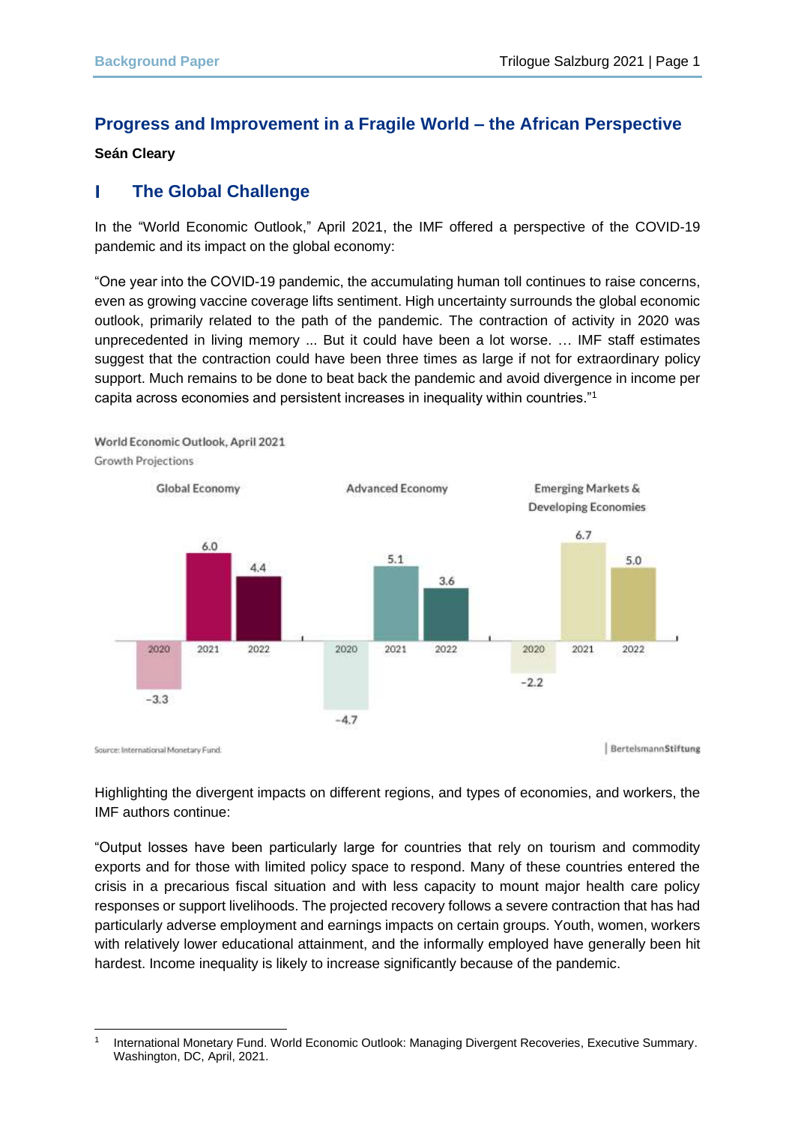# **Progress and Improvement in a Fragile World – the African Perspective**

#### **Seán Cleary**

#### L **The Global Challenge**

In the "World Economic Outlook," April 2021, the IMF offered a perspective of the COVID-19 pandemic and its impact on the global economy:

"One year into the COVID-19 pandemic, the accumulating human toll continues to raise concerns, even as growing vaccine coverage lifts sentiment. High uncertainty surrounds the global economic outlook, primarily related to the path of the pandemic. The contraction of activity in 2020 was unprecedented in living memory ... But it could have been a lot worse. … IMF staff estimates suggest that the contraction could have been three times as large if not for extraordinary policy support. Much remains to be done to beat back the pandemic and avoid divergence in income per capita across economies and persistent increases in inequality within countries."<sup>1</sup>



Highlighting the divergent impacts on different regions, and types of economies, and workers, the IMF authors continue:

"Output losses have been particularly large for countries that rely on tourism and commodity exports and for those with limited policy space to respond. Many of these countries entered the crisis in a precarious fiscal situation and with less capacity to mount major health care policy responses or support livelihoods. The projected recovery follows a severe contraction that has had particularly adverse employment and earnings impacts on certain groups. Youth, women, workers with relatively lower educational attainment, and the informally employed have generally been hit hardest. Income inequality is likely to increase significantly because of the pandemic.

<sup>1</sup> International Monetary Fund. World Economic Outlook: Managing Divergent Recoveries, Executive Summary. Washington, DC, April, 2021.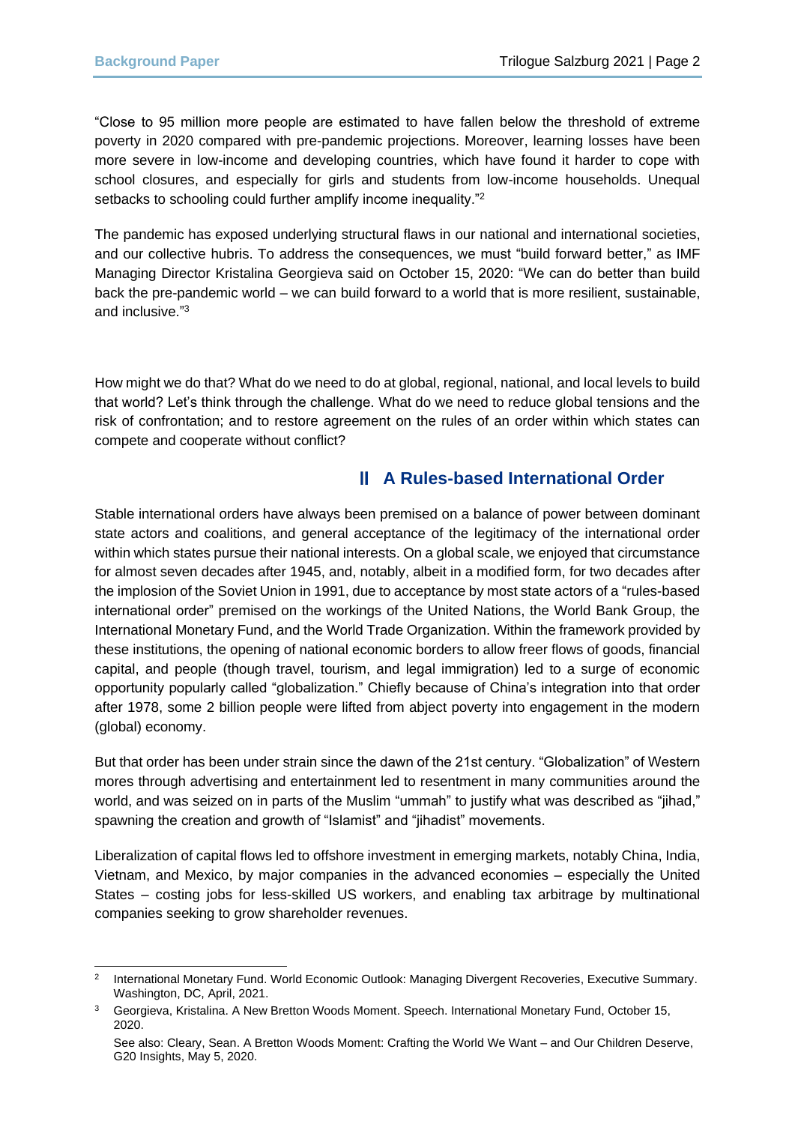"Close to 95 million more people are estimated to have fallen below the threshold of extreme poverty in 2020 compared with pre-pandemic projections. Moreover, learning losses have been more severe in low-income and developing countries, which have found it harder to cope with school closures, and especially for girls and students from low-income households. Unequal setbacks to schooling could further amplify income inequality."<sup>2</sup>

The pandemic has exposed underlying structural flaws in our national and international societies, and our collective hubris. To address the consequences, we must "build forward better," as IMF Managing Director Kristalina Georgieva said on October 15, 2020: "We can do better than build back the pre-pandemic world – we can build forward to a world that is more resilient, sustainable, and inclusive." 3

How might we do that? What do we need to do at global, regional, national, and local levels to build that world? Let's think through the challenge. What do we need to reduce global tensions and the risk of confrontation; and to restore agreement on the rules of an order within which states can compete and cooperate without conflict?

# **A Rules-based International Order**

Stable international orders have always been premised on a balance of power between dominant state actors and coalitions, and general acceptance of the legitimacy of the international order within which states pursue their national interests. On a global scale, we enjoyed that circumstance for almost seven decades after 1945, and, notably, albeit in a modified form, for two decades after the implosion of the Soviet Union in 1991, due to acceptance by most state actors of a "rules-based international order" premised on the workings of the United Nations, the World Bank Group, the International Monetary Fund, and the World Trade Organization. Within the framework provided by these institutions, the opening of national economic borders to allow freer flows of goods, financial capital, and people (though travel, tourism, and legal immigration) led to a surge of economic opportunity popularly called "globalization." Chiefly because of China's integration into that order after 1978, some 2 billion people were lifted from abject poverty into engagement in the modern (global) economy.

But that order has been under strain since the dawn of the 21st century. "Globalization" of Western mores through advertising and entertainment led to resentment in many communities around the world, and was seized on in parts of the Muslim "ummah" to justify what was described as "jihad," spawning the creation and growth of "Islamist" and "jihadist" movements.

Liberalization of capital flows led to offshore investment in emerging markets, notably China, India, Vietnam, and Mexico, by major companies in the advanced economies – especially the United States – costing jobs for less-skilled US workers, and enabling tax arbitrage by multinational companies seeking to grow shareholder revenues.

<sup>2</sup> International Monetary Fund. World Economic Outlook: Managing Divergent Recoveries, Executive Summary. Washington, DC, April, 2021.

<sup>&</sup>lt;sup>3</sup> Georgieva, Kristalina. A New Bretton Woods Moment. Speech. International Monetary Fund, October 15, 2020.

See also: Cleary, Sean. A Bretton Woods Moment: Crafting the World We Want – and Our Children Deserve, G20 Insights, May 5, 2020.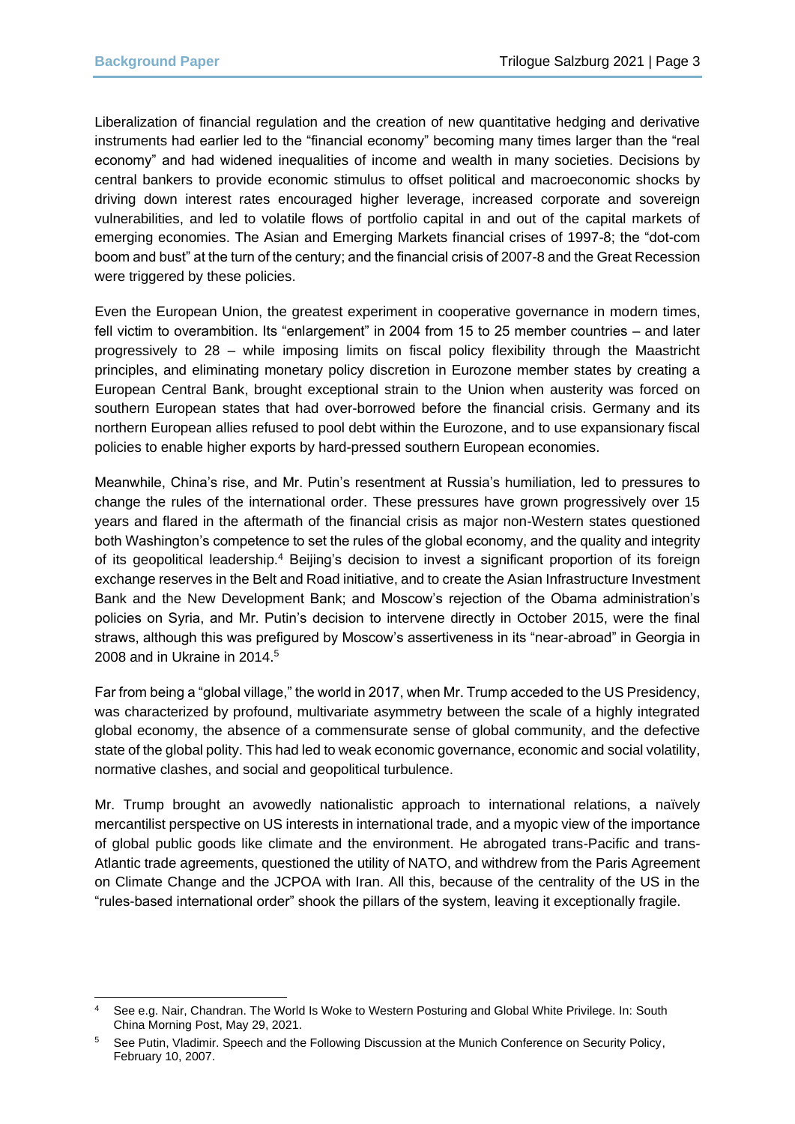Liberalization of financial regulation and the creation of new quantitative hedging and derivative instruments had earlier led to the "financial economy" becoming many times larger than the "real economy" and had widened inequalities of income and wealth in many societies. Decisions by central bankers to provide economic stimulus to offset political and macroeconomic shocks by driving down interest rates encouraged higher leverage, increased corporate and sovereign vulnerabilities, and led to volatile flows of portfolio capital in and out of the capital markets of emerging economies. The Asian and Emerging Markets financial crises of 1997-8; the "dot-com boom and bust" at the turn of the century; and the financial crisis of 2007-8 and the Great Recession were triggered by these policies.

Even the European Union, the greatest experiment in cooperative governance in modern times, fell victim to overambition. Its "enlargement" in 2004 from 15 to 25 member countries – and later progressively to 28 – while imposing limits on fiscal policy flexibility through the Maastricht principles, and eliminating monetary policy discretion in Eurozone member states by creating a European Central Bank, brought exceptional strain to the Union when austerity was forced on southern European states that had over-borrowed before the financial crisis. Germany and its northern European allies refused to pool debt within the Eurozone, and to use expansionary fiscal policies to enable higher exports by hard-pressed southern European economies.

Meanwhile, China's rise, and Mr. Putin's resentment at Russia's humiliation, led to pressures to change the rules of the international order. These pressures have grown progressively over 15 years and flared in the aftermath of the financial crisis as major non-Western states questioned both Washington's competence to set the rules of the global economy, and the quality and integrity of its geopolitical leadership.<sup>4</sup> Beijing's decision to invest a significant proportion of its foreign exchange reserves in the Belt and Road initiative, and to create the Asian Infrastructure Investment Bank and the New Development Bank; and Moscow's rejection of the Obama administration's policies on Syria, and Mr. Putin's decision to intervene directly in October 2015, were the final straws, although this was prefigured by Moscow's assertiveness in its "near-abroad" in Georgia in 2008 and in Ukraine in 2014.<sup>5</sup>

Far from being a "global village," the world in 2017, when Mr. Trump acceded to the US Presidency, was characterized by profound, multivariate asymmetry between the scale of a highly integrated global economy, the absence of a commensurate sense of global community, and the defective state of the global polity. This had led to weak economic governance, economic and social volatility, normative clashes, and social and geopolitical turbulence.

Mr. Trump brought an avowedly nationalistic approach to international relations, a naïvely mercantilist perspective on US interests in international trade, and a myopic view of the importance of global public goods like climate and the environment. He abrogated trans-Pacific and trans-Atlantic trade agreements, questioned the utility of NATO, and withdrew from the Paris Agreement on Climate Change and the JCPOA with Iran. All this, because of the centrality of the US in the "rules-based international order" shook the pillars of the system, leaving it exceptionally fragile.

<sup>4</sup> See e.g. Nair, Chandran. The World Is Woke to Western Posturing and Global White Privilege. In: South China Morning Post, May 29, 2021.

<sup>5</sup> See Putin, Vladimir. Speech and the Following Discussion at the Munich Conference on Security Policy, February 10, 2007.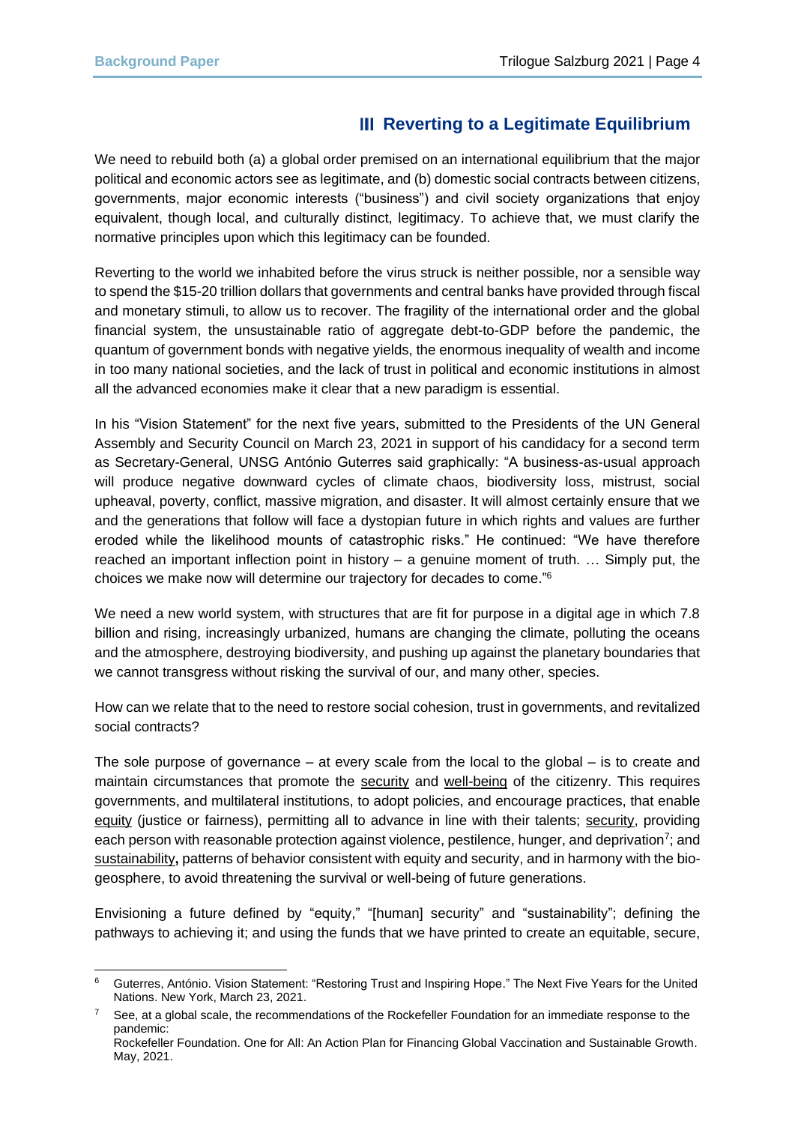# **Reverting to a Legitimate Equilibrium**

We need to rebuild both (a) a global order premised on an international equilibrium that the major political and economic actors see as legitimate, and (b) domestic social contracts between citizens, governments, major economic interests ("business") and civil society organizations that enjoy equivalent, though local, and culturally distinct, legitimacy. To achieve that, we must clarify the normative principles upon which this legitimacy can be founded.

Reverting to the world we inhabited before the virus struck is neither possible, nor a sensible way to spend the \$15-20 trillion dollars that governments and central banks have provided through fiscal and monetary stimuli, to allow us to recover. The fragility of the international order and the global financial system, the unsustainable ratio of aggregate debt-to-GDP before the pandemic, the quantum of government bonds with negative yields, the enormous inequality of wealth and income in too many national societies, and the lack of trust in political and economic institutions in almost all the advanced economies make it clear that a new paradigm is essential.

In his "Vision Statement" for the next five years, submitted to the Presidents of the UN General Assembly and Security Council on March 23, 2021 in support of his candidacy for a second term as Secretary-General, UNSG António Guterres said graphically: "A business-as-usual approach will produce negative downward cycles of climate chaos, biodiversity loss, mistrust, social upheaval, poverty, conflict, massive migration, and disaster. It will almost certainly ensure that we and the generations that follow will face a dystopian future in which rights and values are further eroded while the likelihood mounts of catastrophic risks." He continued: "We have therefore reached an important inflection point in history – a genuine moment of truth. … Simply put, the choices we make now will determine our trajectory for decades to come."<sup>6</sup>

We need a new world system, with structures that are fit for purpose in a digital age in which 7.8 billion and rising, increasingly urbanized, humans are changing the climate, polluting the oceans and the atmosphere, destroying biodiversity, and pushing up against the planetary boundaries that we cannot transgress without risking the survival of our, and many other, species.

How can we relate that to the need to restore social cohesion, trust in governments, and revitalized social contracts?

The sole purpose of governance – at every scale from the local to the global – is to create and maintain circumstances that promote the security and well-being of the citizenry. This requires governments, and multilateral institutions, to adopt policies, and encourage practices, that enable equity (justice or fairness), permitting all to advance in line with their talents; security, providing each person with reasonable protection against violence, pestilence, hunger, and deprivation<sup>7</sup>; and sustainability**,** patterns of behavior consistent with equity and security, and in harmony with the biogeosphere, to avoid threatening the survival or well-being of future generations.

Envisioning a future defined by "equity," "[human] security" and "sustainability"; defining the pathways to achieving it; and using the funds that we have printed to create an equitable, secure,

<sup>6</sup> Guterres, António. Vision Statement: "Restoring Trust and Inspiring Hope." The Next Five Years for the United Nations. New York, March 23, 2021.

See, at a global scale, the recommendations of the Rockefeller Foundation for an immediate response to the pandemic: Rockefeller Foundation. One for All: An Action Plan for Financing Global Vaccination and Sustainable Growth. May, 2021.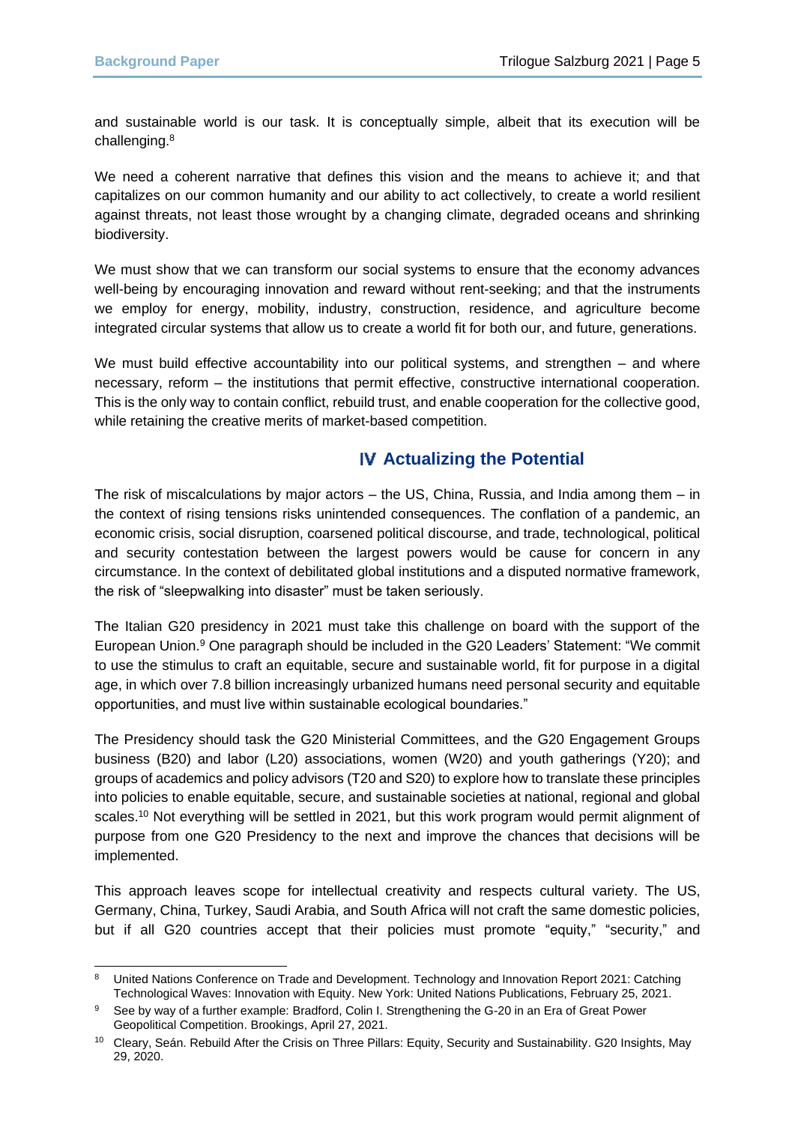and sustainable world is our task. It is conceptually simple, albeit that its execution will be challenging.<sup>8</sup>

We need a coherent narrative that defines this vision and the means to achieve it; and that capitalizes on our common humanity and our ability to act collectively, to create a world resilient against threats, not least those wrought by a changing climate, degraded oceans and shrinking biodiversity.

We must show that we can transform our social systems to ensure that the economy advances well-being by encouraging innovation and reward without rent-seeking; and that the instruments we employ for energy, mobility, industry, construction, residence, and agriculture become integrated circular systems that allow us to create a world fit for both our, and future, generations.

We must build effective accountability into our political systems, and strengthen – and where necessary, reform – the institutions that permit effective, constructive international cooperation. This is the only way to contain conflict, rebuild trust, and enable cooperation for the collective good, while retaining the creative merits of market-based competition.

## **Actualizing the Potential**

The risk of miscalculations by major actors – the US, China, Russia, and India among them – in the context of rising tensions risks unintended consequences. The conflation of a pandemic, an economic crisis, social disruption, coarsened political discourse, and trade, technological, political and security contestation between the largest powers would be cause for concern in any circumstance. In the context of debilitated global institutions and a disputed normative framework, the risk of "sleepwalking into disaster" must be taken seriously.

The Italian G20 presidency in 2021 must take this challenge on board with the support of the European Union.<sup>9</sup> One paragraph should be included in the G20 Leaders' Statement: "We commit to use the stimulus to craft an equitable, secure and sustainable world, fit for purpose in a digital age, in which over 7.8 billion increasingly urbanized humans need personal security and equitable opportunities, and must live within sustainable ecological boundaries."

The Presidency should task the G20 Ministerial Committees, and the G20 Engagement Groups business (B20) and labor (L20) associations, women (W20) and youth gatherings (Y20); and groups of academics and policy advisors (T20 and S20) to explore how to translate these principles into policies to enable equitable, secure, and sustainable societies at national, regional and global scales.<sup>10</sup> Not everything will be settled in 2021, but this work program would permit alignment of purpose from one G20 Presidency to the next and improve the chances that decisions will be implemented.

This approach leaves scope for intellectual creativity and respects cultural variety. The US, Germany, China, Turkey, Saudi Arabia, and South Africa will not craft the same domestic policies, but if all G20 countries accept that their policies must promote "equity," "security," and

<sup>&</sup>lt;sup>8</sup> United Nations Conference on Trade and Development. Technology and Innovation Report 2021: Catching Technological Waves: Innovation with Equity. New York: United Nations Publications, February 25, 2021.

<sup>9</sup> See by way of a further example: Bradford, Colin I. Strengthening the G-20 in an Era of Great Power Geopolitical Competition. Brookings, April 27, 2021.

<sup>10</sup> Cleary, Seán. Rebuild After the Crisis on Three Pillars: Equity, Security and Sustainability. G20 Insights, May 29, 2020.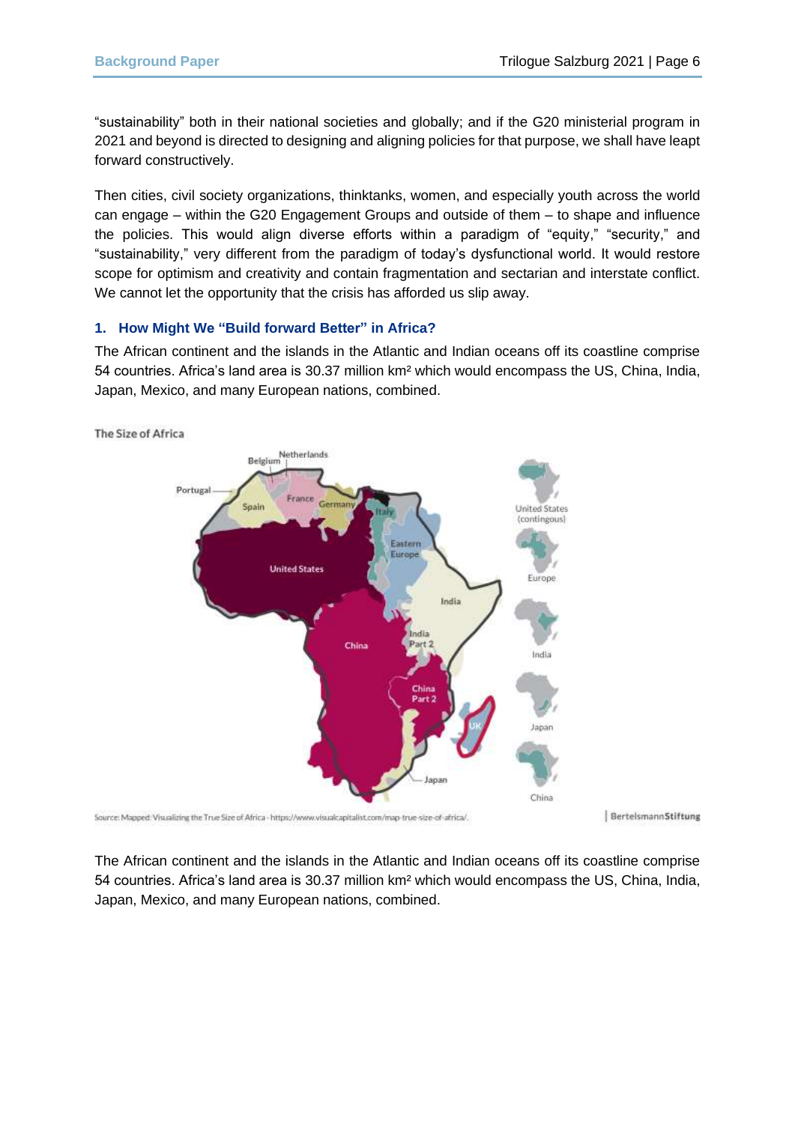"sustainability" both in their national societies and globally; and if the G20 ministerial program in 2021 and beyond is directed to designing and aligning policies for that purpose, we shall have leapt forward constructively.

Then cities, civil society organizations, thinktanks, women, and especially youth across the world can engage – within the G20 Engagement Groups and outside of them – to shape and influence the policies. This would align diverse efforts within a paradigm of "equity," "security," and "sustainability," very different from the paradigm of today's dysfunctional world. It would restore scope for optimism and creativity and contain fragmentation and sectarian and interstate conflict. We cannot let the opportunity that the crisis has afforded us slip away.

#### **1. How Might We "Build forward Better" in Africa?**

The African continent and the islands in the Atlantic and Indian oceans off its coastline comprise 54 countries. Africa's land area is 30.37 million km² which would encompass the US, China, India, Japan, Mexico, and many European nations, combined.



The Size of Africa



BertelsmannStiftung

The African continent and the islands in the Atlantic and Indian oceans off its coastline comprise 54 countries. Africa's land area is 30.37 million km² which would encompass the US, China, India, Japan, Mexico, and many European nations, combined.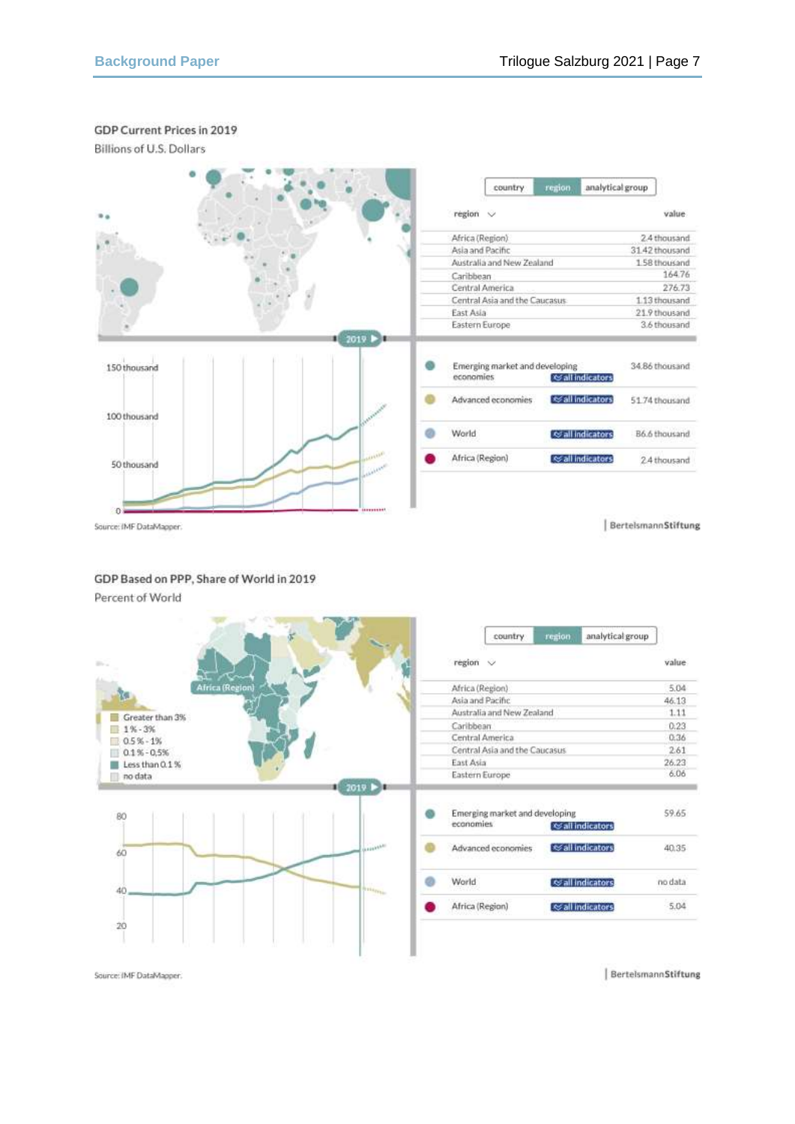## GDP Current Prices in 2019

Billions of U.S. Dollars



Source: IMF DataMapper

BertelsmannStiftung

value  $504$ 

46.13

 $1.11$ 

 $0.23$ 

0.36

2.61

26.23

 $6.06$ 

59.65

40.35

no data

5.04

### GDP Based on PPP, Share of World in 2019

Percent of World



BertelsmannStiftung

Source: IMF DataMapper.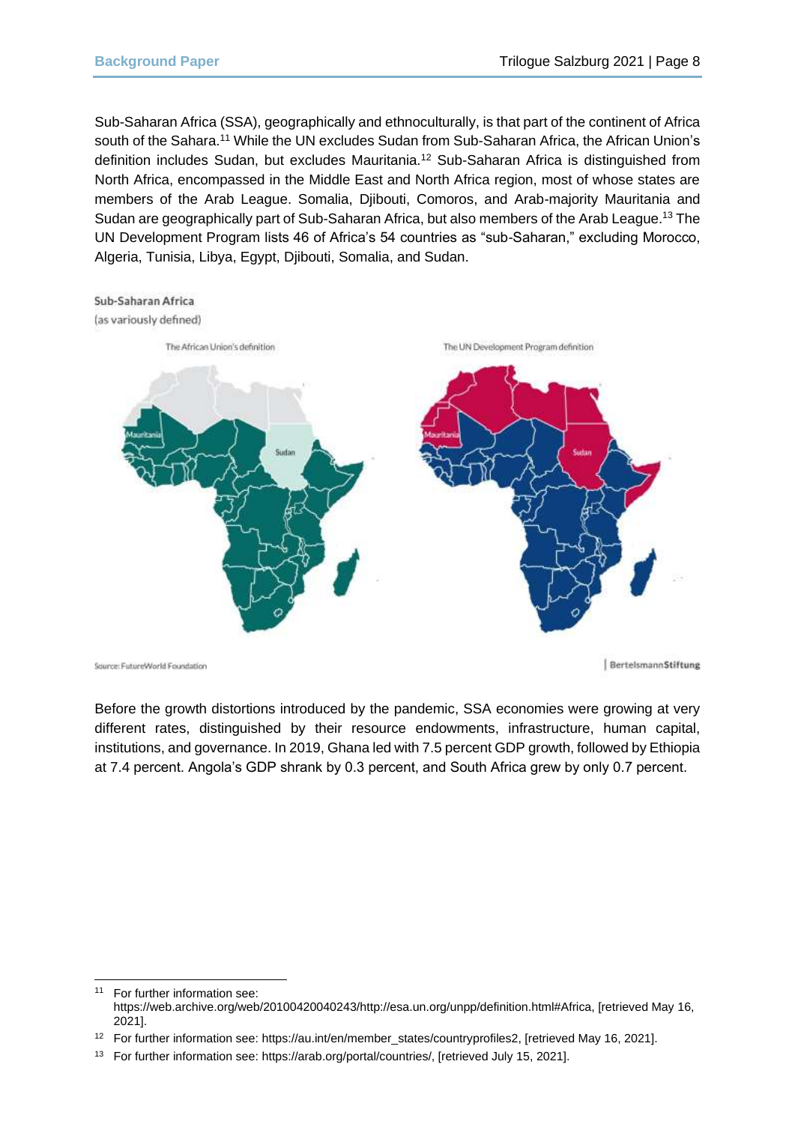Sub-Saharan Africa (SSA), geographically and ethnoculturally, is that part of the continent of Africa south of the Sahara.<sup>11</sup> While the UN excludes Sudan from Sub-Saharan Africa, the African Union's definition includes Sudan, but excludes Mauritania.<sup>12</sup> Sub-Saharan Africa is distinguished from North Africa, encompassed in the Middle East and North Africa region, most of whose states are members of the Arab League. Somalia, Djibouti, Comoros, and Arab-majority Mauritania and Sudan are geographically part of Sub-Saharan Africa, but also members of the Arab League. <sup>13</sup> The UN Development Program lists 46 of Africa's 54 countries as "sub-Saharan," excluding Morocco, Algeria, Tunisia, Libya, Egypt, Djibouti, Somalia, and Sudan.





Source: FutureWorld Foundation

BertelsmannStiftung

Before the growth distortions introduced by the pandemic, SSA economies were growing at very different rates, distinguished by their resource endowments, infrastructure, human capital, institutions, and governance. In 2019, Ghana led with 7.5 percent GDP growth, followed by Ethiopia at 7.4 percent. Angola's GDP shrank by 0.3 percent, and South Africa grew by only 0.7 percent.

<sup>11</sup> For further information see: https://web.archive.org/web/20100420040243/http://esa.un.org/unpp/definition.html#Africa, [retrieved May 16, 2021].

<sup>12</sup> For further information see: https://au.int/en/member\_states/countryprofiles2, [retrieved May 16, 2021].

<sup>13</sup> For further information see: https://arab.org/portal/countries/, [retrieved July 15, 2021].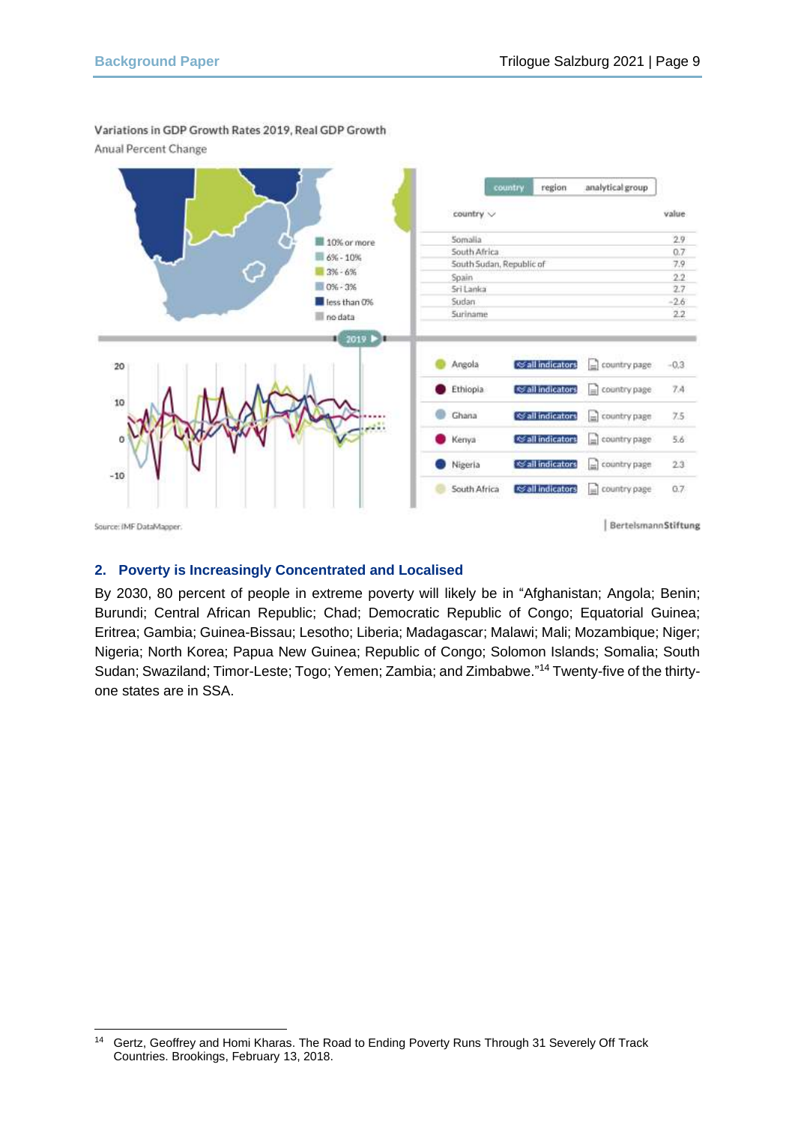

Variations in GDP Growth Rates 2019, Real GDP Growth

Anual Percent Change

## **2. Poverty is Increasingly Concentrated and Localised**

By 2030, 80 percent of people in extreme poverty will likely be in "Afghanistan; Angola; Benin; Burundi; Central African Republic; Chad; Democratic Republic of Congo; Equatorial Guinea; Eritrea; Gambia; Guinea-Bissau; Lesotho; Liberia; Madagascar; Malawi; Mali; Mozambique; Niger; Nigeria; North Korea; Papua New Guinea; Republic of Congo; Solomon Islands; Somalia; South Sudan; Swaziland; Timor-Leste; Togo; Yemen; Zambia; and Zimbabwe." <sup>14</sup> Twenty-five of the thirtyone states are in SSA.

<sup>14</sup> Gertz, Geoffrey and Homi Kharas. The Road to Ending Poverty Runs Through 31 Severely Off Track Countries. Brookings, February 13, 2018.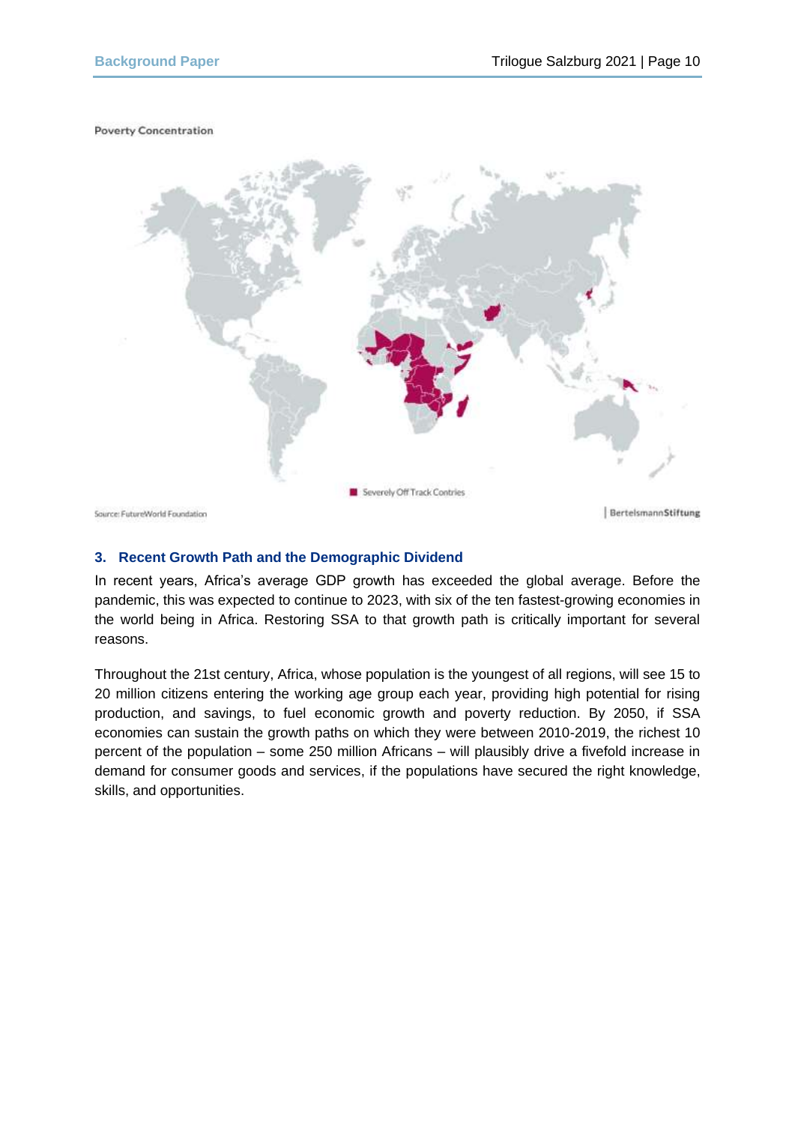#### **Poverty Concentration**



#### **3. Recent Growth Path and the Demographic Dividend**

In recent years, Africa's average GDP growth has exceeded the global average. Before the pandemic, this was expected to continue to 2023, with six of the ten fastest-growing economies in the world being in Africa. Restoring SSA to that growth path is critically important for several reasons.

Throughout the 21st century, Africa, whose population is the youngest of all regions, will see 15 to 20 million citizens entering the working age group each year, providing high potential for rising production, and savings, to fuel economic growth and poverty reduction. By 2050, if SSA economies can sustain the growth paths on which they were between 2010-2019, the richest 10 percent of the population – some 250 million Africans – will plausibly drive a fivefold increase in demand for consumer goods and services, if the populations have secured the right knowledge, skills, and opportunities.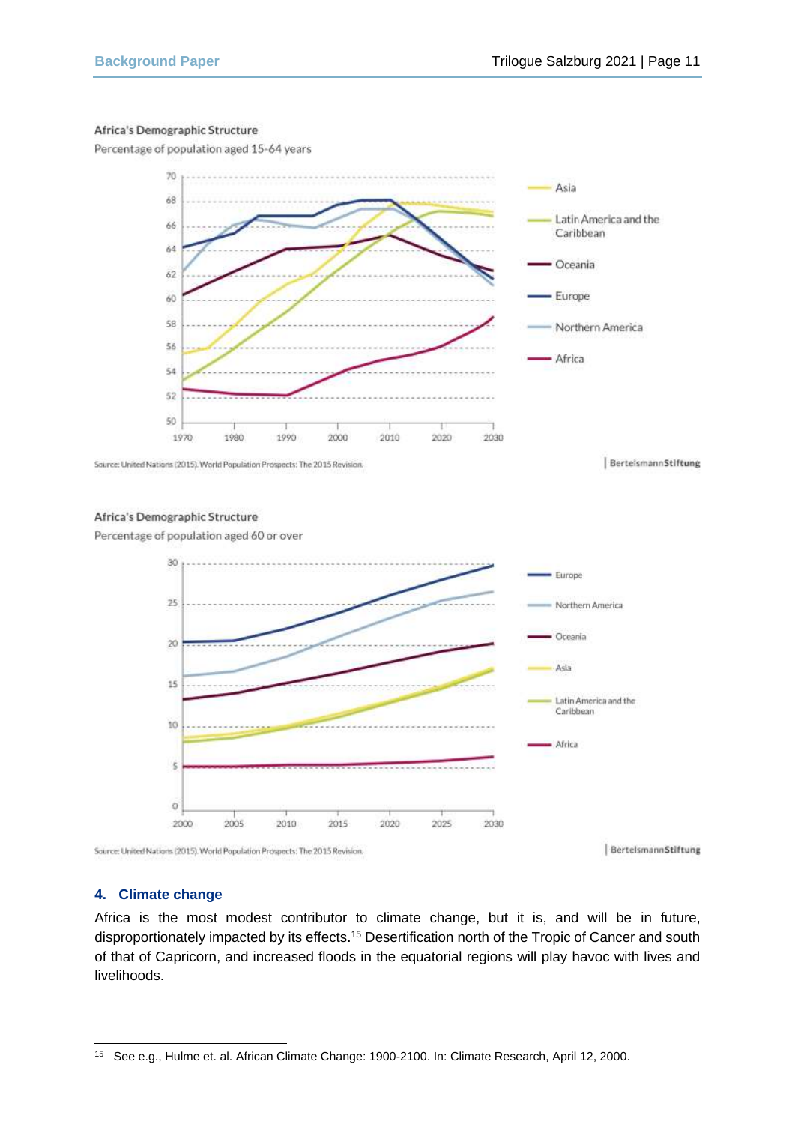#### Africa's Demographic Structure

Percentage of population aged 15-64 years



Source: United Nations (2015). World Population Prospects: The 2015 Revision.

#### Africa's Demographic Structure

Percentage of population aged 60 or over



#### BerteismannStiftung

#### **4. Climate change**

Africa is the most modest contributor to climate change, but it is, and will be in future, disproportionately impacted by its effects.<sup>15</sup> Desertification north of the Tropic of Cancer and south of that of Capricorn, and increased floods in the equatorial regions will play havoc with lives and livelihoods.

<sup>15</sup> See e.g., Hulme et. al. African Climate Change: 1900-2100. In: Climate Research, April 12, 2000.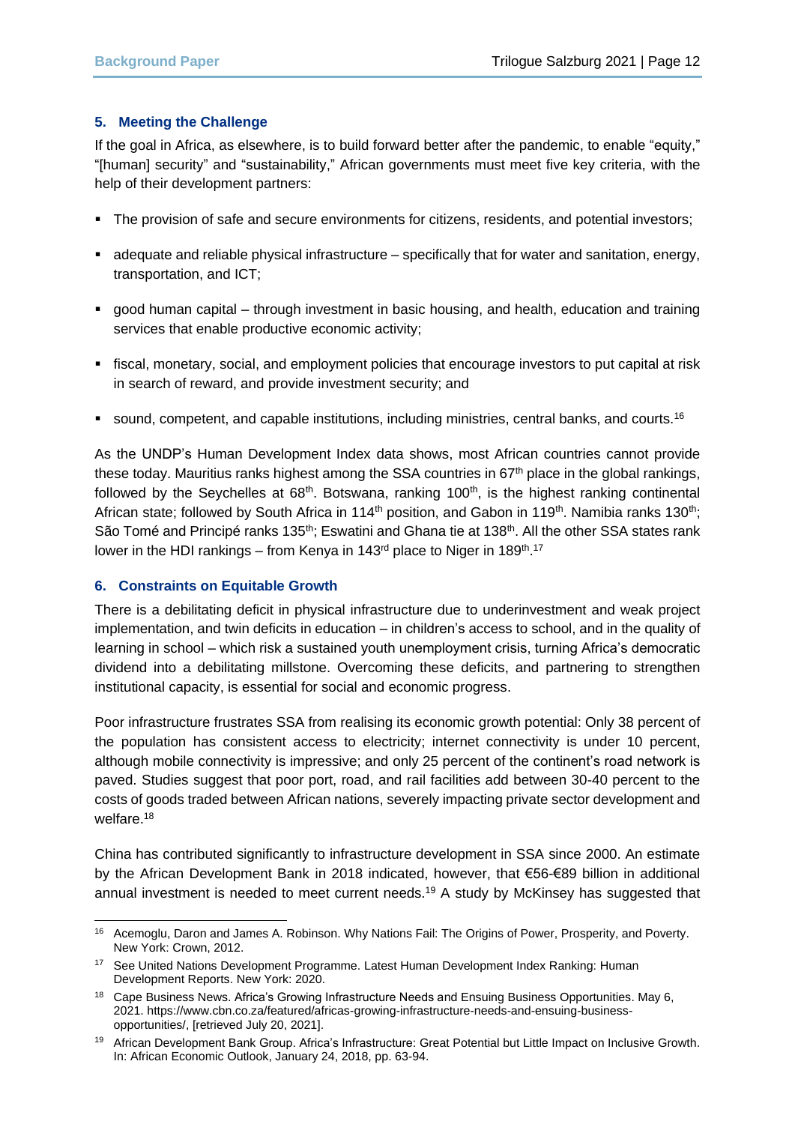#### **5. Meeting the Challenge**

If the goal in Africa, as elsewhere, is to build forward better after the pandemic, to enable "equity," "[human] security" and "sustainability," African governments must meet five key criteria, with the help of their development partners:

- The provision of safe and secure environments for citizens, residents, and potential investors;
- adequate and reliable physical infrastructure specifically that for water and sanitation, energy, transportation, and ICT;
- good human capital through investment in basic housing, and health, education and training services that enable productive economic activity;
- fiscal, monetary, social, and employment policies that encourage investors to put capital at risk in search of reward, and provide investment security; and
- **•** sound, competent, and capable institutions, including ministries, central banks, and courts.<sup>16</sup>

As the UNDP's Human Development Index data shows, most African countries cannot provide these today. Mauritius ranks highest among the SSA countries in 67<sup>th</sup> place in the global rankings, followed by the Seychelles at  $68<sup>th</sup>$ . Botswana, ranking 100<sup>th</sup>, is the highest ranking continental African state; followed by South Africa in 114<sup>th</sup> position, and Gabon in 119<sup>th</sup>. Namibia ranks 130<sup>th</sup>; São Tomé and Principé ranks 135<sup>th</sup>; Eswatini and Ghana tie at 138<sup>th</sup>. All the other SSA states rank lower in the HDI rankings – from Kenya in 143<sup>rd</sup> place to Niger in 189<sup>th</sup>.<sup>17</sup>

#### **6. Constraints on Equitable Growth**

There is a debilitating deficit in physical infrastructure due to underinvestment and weak project implementation, and twin deficits in education – in children's access to school, and in the quality of learning in school – which risk a sustained youth unemployment crisis, turning Africa's democratic dividend into a debilitating millstone. Overcoming these deficits, and partnering to strengthen institutional capacity, is essential for social and economic progress.

Poor infrastructure frustrates SSA from realising its economic growth potential: Only 38 percent of the population has consistent access to electricity; internet connectivity is under 10 percent, although mobile connectivity is impressive; and only 25 percent of the continent's road network is paved. Studies suggest that poor port, road, and rail facilities add between 30-40 percent to the costs of goods traded between African nations, severely impacting private sector development and welfare.<sup>18</sup>

China has contributed significantly to infrastructure development in SSA since 2000. An estimate by the African Development Bank in 2018 indicated, however, that €56-€89 billion in additional annual investment is needed to meet current needs.<sup>19</sup> A study by McKinsey has suggested that

<sup>16</sup> Acemoglu, Daron and James A. Robinson. Why Nations Fail: The Origins of Power, Prosperity, and Poverty. New York: Crown, 2012.

<sup>&</sup>lt;sup>17</sup> See United Nations Development Programme. Latest Human Development Index Ranking: Human Development Reports. New York: 2020.

<sup>18</sup> Cape Business News. Africa's Growing Infrastructure Needs and Ensuing Business Opportunities. May 6, 2021. https://www.cbn.co.za/featured/africas-growing-infrastructure-needs-and-ensuing-businessopportunities/, [retrieved July 20, 2021].

<sup>19</sup> African Development Bank Group. Africa's Infrastructure: Great Potential but Little Impact on Inclusive Growth. In: African Economic Outlook, January 24, 2018, pp. 63-94.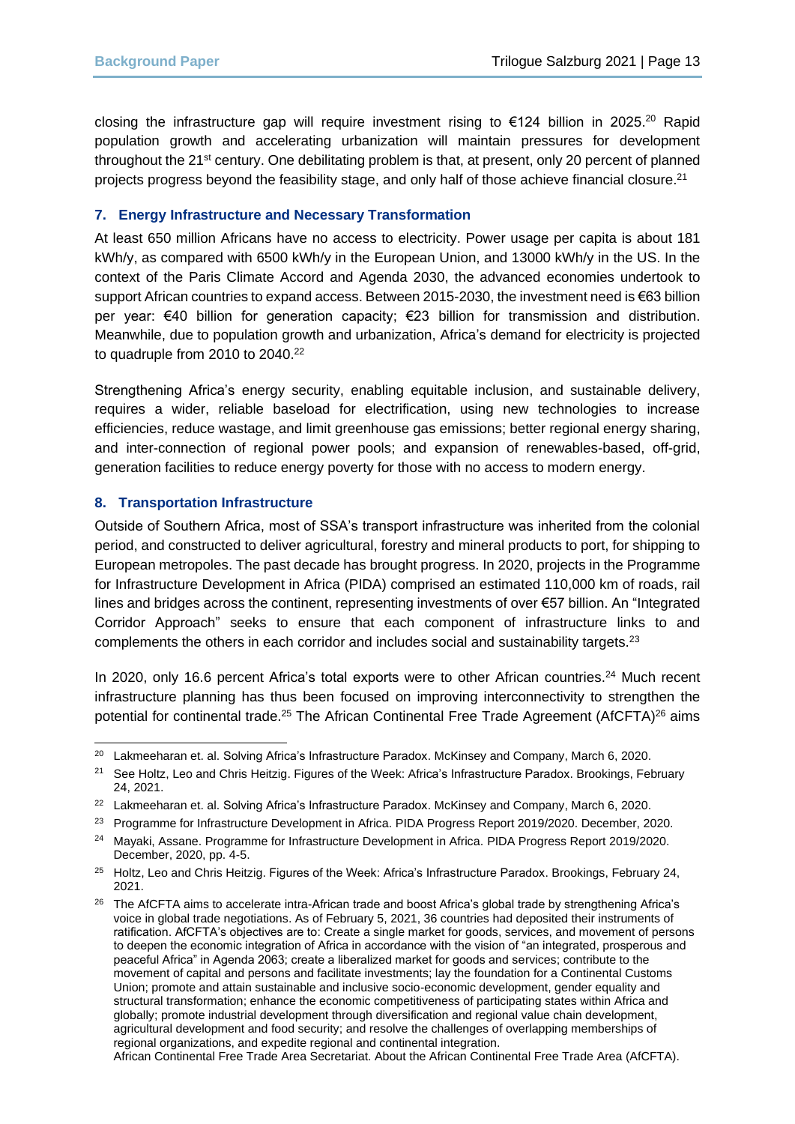closing the infrastructure gap will require investment rising to €124 billion in 2025.<sup>20</sup> Rapid population growth and accelerating urbanization will maintain pressures for development throughout the 21<sup>st</sup> century. One debilitating problem is that, at present, only 20 percent of planned projects progress beyond the feasibility stage, and only half of those achieve financial closure.<sup>21</sup>

#### **7. Energy Infrastructure and Necessary Transformation**

At least 650 million Africans have no access to electricity. Power usage per capita is about 181 kWh/y, as compared with 6500 kWh/y in the European Union, and 13000 kWh/y in the US. In the context of the Paris Climate Accord and Agenda 2030, the advanced economies undertook to support African countries to expand access. Between 2015-2030, the investment need is €63 billion per year: €40 billion for generation capacity; €23 billion for transmission and distribution. Meanwhile, due to population growth and urbanization, Africa's demand for electricity is projected to quadruple from 2010 to 2040.<sup>22</sup>

Strengthening Africa's energy security, enabling equitable inclusion, and sustainable delivery, requires a wider, reliable baseload for electrification, using new technologies to increase efficiencies, reduce wastage, and limit greenhouse gas emissions; better regional energy sharing, and inter-connection of regional power pools; and expansion of renewables-based, off-grid, generation facilities to reduce energy poverty for those with no access to modern energy.

#### **8. Transportation Infrastructure**

Outside of Southern Africa, most of SSA's transport infrastructure was inherited from the colonial period, and constructed to deliver agricultural, forestry and mineral products to port, for shipping to European metropoles. The past decade has brought progress. In 2020, projects in the Programme for Infrastructure Development in Africa (PIDA) comprised an estimated 110,000 km of roads, rail lines and bridges across the continent, representing investments of over €57 billion. An "Integrated Corridor Approach" seeks to ensure that each component of infrastructure links to and complements the others in each corridor and includes social and sustainability targets.<sup>23</sup>

In 2020, only 16.6 percent Africa's total exports were to other African countries.<sup>24</sup> Much recent infrastructure planning has thus been focused on improving interconnectivity to strengthen the potential for continental trade.<sup>25</sup> The African Continental Free Trade Agreement (AfCFTA)<sup>26</sup> aims

African Continental Free Trade Area Secretariat. About the African Continental Free Trade Area (AfCFTA).

<sup>&</sup>lt;sup>20</sup> Lakmeeharan et. al. Solving Africa's Infrastructure Paradox. McKinsey and Company, March 6, 2020.

<sup>&</sup>lt;sup>21</sup> See Holtz, Leo and Chris Heitzig. Figures of the Week: Africa's Infrastructure Paradox. Brookings, February 24, 2021.

<sup>&</sup>lt;sup>22</sup> Lakmeeharan et. al. Solving Africa's Infrastructure Paradox. McKinsey and Company, March 6, 2020.

<sup>&</sup>lt;sup>23</sup> Programme for Infrastructure Development in Africa. PIDA Progress Report 2019/2020. December, 2020.

<sup>24</sup> Mayaki, Assane. Programme for Infrastructure Development in Africa. PIDA Progress Report 2019/2020. December, 2020, pp. 4-5.

<sup>&</sup>lt;sup>25</sup> Holtz, Leo and Chris Heitzig. Figures of the Week: Africa's Infrastructure Paradox. Brookings, February 24, 2021.

<sup>&</sup>lt;sup>26</sup> The AfCFTA aims to accelerate intra-African trade and boost Africa's global trade by strengthening Africa's voice in global trade negotiations. As of February 5, 2021, 36 countries had deposited their instruments of ratification. AfCFTA's objectives are to: Create a single market for goods, services, and movement of persons to deepen the economic integration of Africa in accordance with the vision of "an integrated, prosperous and peaceful Africa" in Agenda 2063; create a liberalized market for goods and services; contribute to the movement of capital and persons and facilitate investments; lay the foundation for a Continental Customs Union; promote and attain sustainable and inclusive socio-economic development, gender equality and structural transformation; enhance the economic competitiveness of participating states within Africa and globally; promote industrial development through diversification and regional value chain development, agricultural development and food security; and resolve the challenges of overlapping memberships of regional organizations, and expedite regional and continental integration.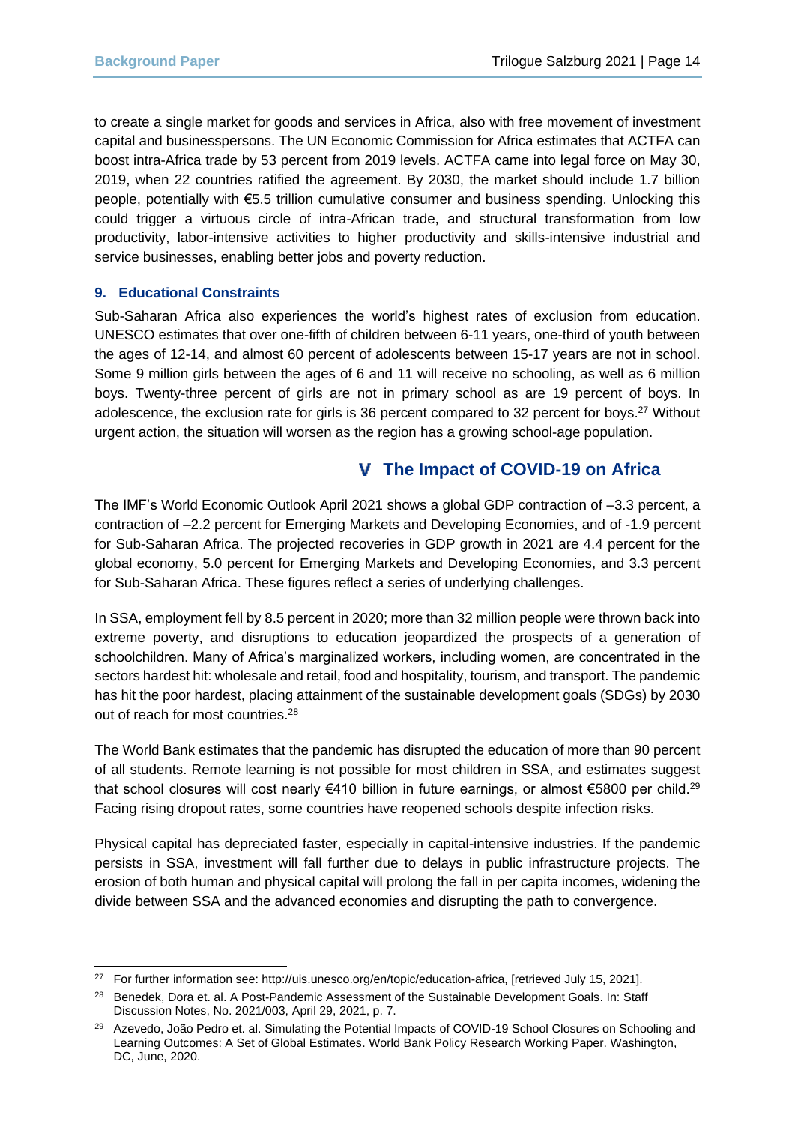to create a single market for goods and services in Africa, also with free movement of investment capital and businesspersons. The UN Economic Commission for Africa estimates that ACTFA can boost intra-Africa trade by 53 percent from 2019 levels. ACTFA came into legal force on May 30, 2019, when 22 countries ratified the agreement. By 2030, the market should include 1.7 billion people, potentially with €5.5 trillion cumulative consumer and business spending. Unlocking this could trigger a virtuous circle of intra-African trade, and structural transformation from low productivity, labor-intensive activities to higher productivity and skills-intensive industrial and service businesses, enabling better jobs and poverty reduction.

#### **9. Educational Constraints**

Sub-Saharan Africa also experiences the world's highest rates of exclusion from education. UNESCO estimates that over one-fifth of children between 6-11 years, one-third of youth between the ages of 12-14, and almost 60 percent of adolescents between 15-17 years are not in school. Some 9 million girls between the ages of 6 and 11 will receive no schooling, as well as 6 million boys. Twenty-three percent of girls are not in primary school as are 19 percent of boys. In adolescence, the exclusion rate for girls is 36 percent compared to 32 percent for boys.<sup>27</sup> Without urgent action, the situation will worsen as the region has a growing school-age population.

## **The Impact of COVID-19 on Africa**

The IMF's World Economic Outlook April 2021 shows a global GDP contraction of –3.3 percent, a contraction of –2.2 percent for Emerging Markets and Developing Economies, and of -1.9 percent for Sub-Saharan Africa. The projected recoveries in GDP growth in 2021 are 4.4 percent for the global economy, 5.0 percent for Emerging Markets and Developing Economies, and 3.3 percent for Sub-Saharan Africa. These figures reflect a series of underlying challenges.

In SSA, employment fell by 8.5 percent in 2020; more than 32 million people were thrown back into extreme poverty, and disruptions to education jeopardized the prospects of a generation of schoolchildren. Many of Africa's marginalized workers, including women, are concentrated in the sectors hardest hit: wholesale and retail, food and hospitality, tourism, and transport. The pandemic has hit the poor hardest, placing attainment of the sustainable development goals (SDGs) by 2030 out of reach for most countries.<sup>28</sup>

The World Bank estimates that the pandemic has disrupted the education of more than 90 percent of all students. Remote learning is not possible for most children in SSA, and estimates suggest that school closures will cost nearly €410 billion in future earnings, or almost €5800 per child.<sup>29</sup> Facing rising dropout rates, some countries have reopened schools despite infection risks.

Physical capital has depreciated faster, especially in capital-intensive industries. If the pandemic persists in SSA, investment will fall further due to delays in public infrastructure projects. The erosion of both human and physical capital will prolong the fall in per capita incomes, widening the divide between SSA and the advanced economies and disrupting the path to convergence.

<sup>&</sup>lt;sup>27</sup> For further information see: http://uis.unesco.org/en/topic/education-africa, [retrieved July 15, 2021].

<sup>&</sup>lt;sup>28</sup> Benedek, Dora et. al. A Post-Pandemic Assessment of the Sustainable Development Goals. In: Staff Discussion Notes, No. 2021/003, April 29, 2021, p. 7.

<sup>&</sup>lt;sup>29</sup> Azevedo, João Pedro et. al. Simulating the Potential Impacts of COVID-19 School Closures on Schooling and Learning Outcomes: A Set of Global Estimates. World Bank Policy Research Working Paper. Washington, DC, June, 2020.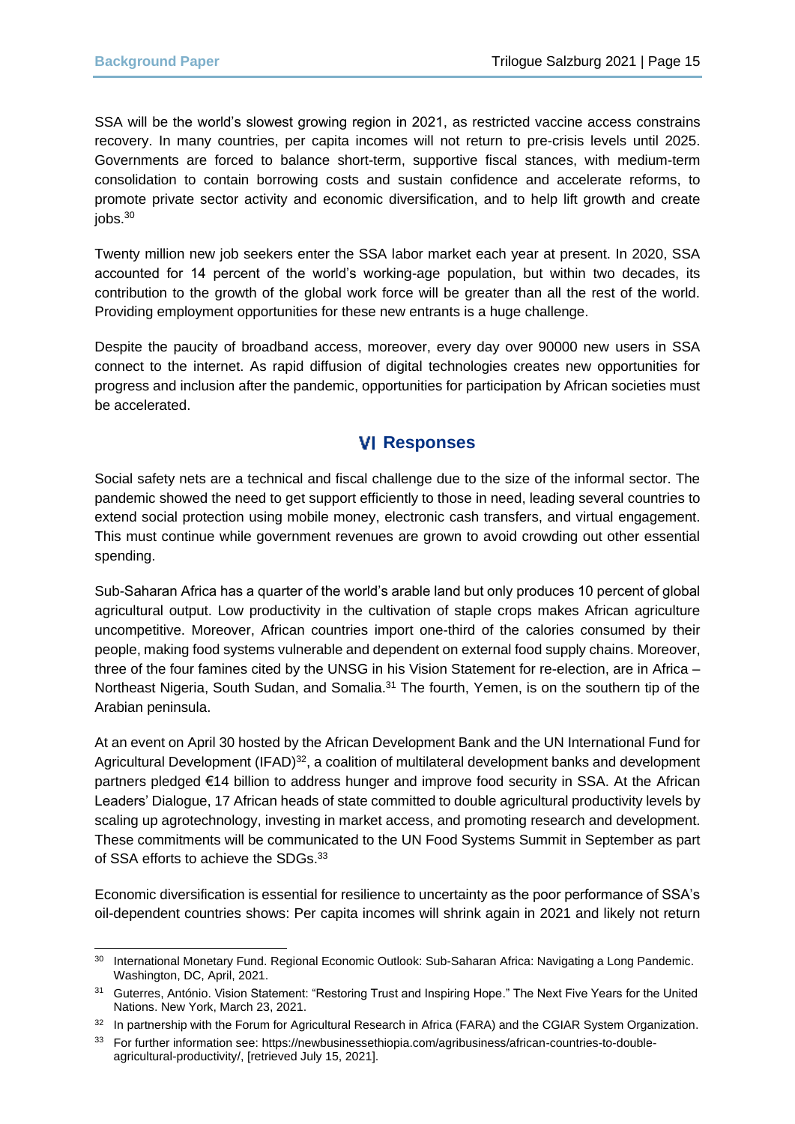SSA will be the world's slowest growing region in 2021, as restricted vaccine access constrains recovery. In many countries, per capita incomes will not return to pre-crisis levels until 2025. Governments are forced to balance short-term, supportive fiscal stances, with medium-term consolidation to contain borrowing costs and sustain confidence and accelerate reforms, to promote private sector activity and economic diversification, and to help lift growth and create jobs.<sup>30</sup>

Twenty million new job seekers enter the SSA labor market each year at present. In 2020, SSA accounted for 14 percent of the world's working-age population, but within two decades, its contribution to the growth of the global work force will be greater than all the rest of the world. Providing employment opportunities for these new entrants is a huge challenge.

Despite the paucity of broadband access, moreover, every day over 90000 new users in SSA connect to the internet. As rapid diffusion of digital technologies creates new opportunities for progress and inclusion after the pandemic, opportunities for participation by African societies must be accelerated.

## **Responses**

Social safety nets are a technical and fiscal challenge due to the size of the informal sector. The pandemic showed the need to get support efficiently to those in need, leading several countries to extend social protection using mobile money, electronic cash transfers, and virtual engagement. This must continue while government revenues are grown to avoid crowding out other essential spending.

Sub-Saharan Africa has a quarter of the world's arable land but only produces 10 percent of global agricultural output. Low productivity in the cultivation of staple crops makes African agriculture uncompetitive. Moreover, African countries import one-third of the calories consumed by their people, making food systems vulnerable and dependent on external food supply chains. Moreover, three of the four famines cited by the UNSG in his Vision Statement for re-election, are in Africa – Northeast Nigeria, South Sudan, and Somalia.<sup>31</sup> The fourth, Yemen, is on the southern tip of the Arabian peninsula.

At an event on April 30 hosted by the African Development Bank and the UN International Fund for Agricultural Development (IFAD)<sup>32</sup>, a coalition of multilateral development banks and development partners pledged €14 billion to address hunger and improve food security in SSA. At the African Leaders' Dialogue, 17 African heads of state committed to double agricultural productivity levels by scaling up agrotechnology, investing in market access, and promoting research and development. These commitments will be communicated to the UN Food Systems Summit in September as part of SSA efforts to achieve the SDGs.<sup>33</sup>

Economic diversification is essential for resilience to uncertainty as the poor performance of SSA's oil-dependent countries shows: Per capita incomes will shrink again in 2021 and likely not return

<sup>30</sup> International Monetary Fund. Regional Economic Outlook: Sub-Saharan Africa: Navigating a Long Pandemic. Washington, DC, April, 2021.

<sup>&</sup>lt;sup>31</sup> Guterres, António. Vision Statement: "Restoring Trust and Inspiring Hope." The Next Five Years for the United Nations. New York, March 23, 2021.

<sup>32</sup> In partnership with the Forum for Agricultural Research in Africa (FARA) and the CGIAR System Organization.

<sup>33</sup> For further information see: https://newbusinessethiopia.com/agribusiness/african-countries-to-doubleagricultural-productivity/, [retrieved July 15, 2021].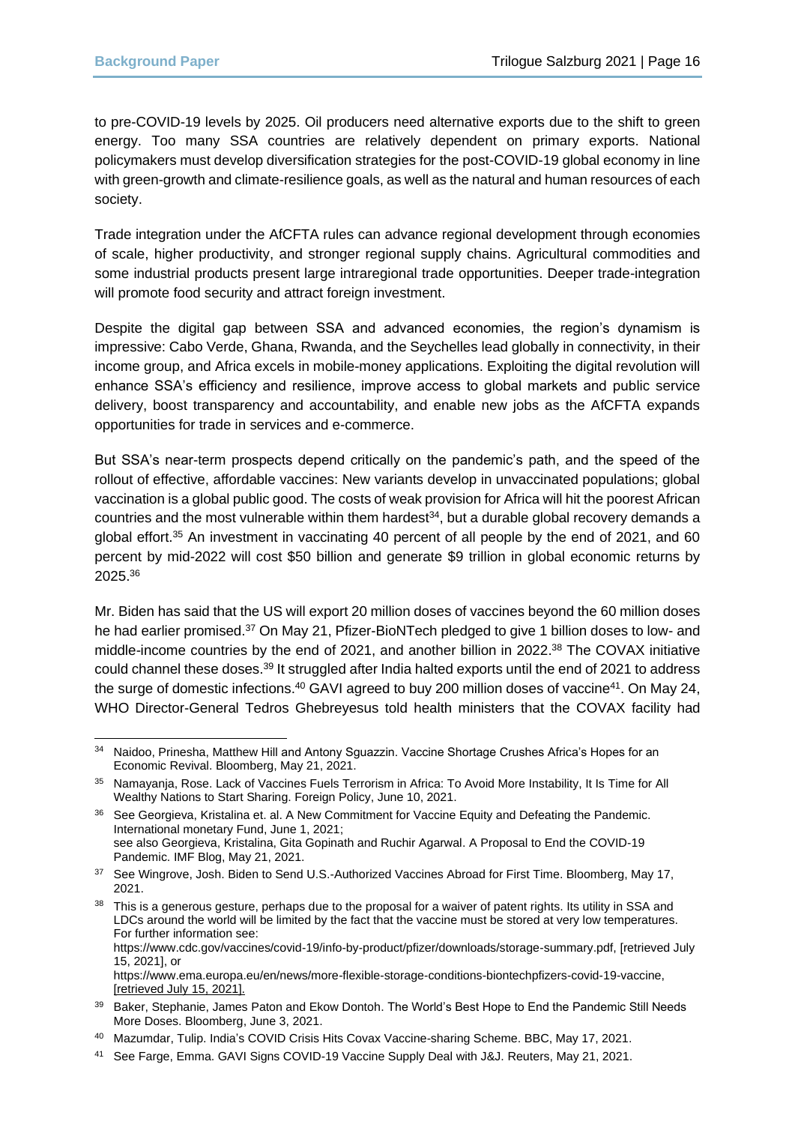to pre-COVID-19 levels by 2025. Oil producers need alternative exports due to the shift to green energy. Too many SSA countries are relatively dependent on primary exports. National policymakers must develop diversification strategies for the post-COVID-19 global economy in line with green-growth and climate-resilience goals, as well as the natural and human resources of each society.

Trade integration under the AfCFTA rules can advance regional development through economies of scale, higher productivity, and stronger regional supply chains. Agricultural commodities and some industrial products present large intraregional trade opportunities. Deeper trade-integration will promote food security and attract foreign investment.

Despite the digital gap between SSA and advanced economies, the region's dynamism is impressive: Cabo Verde, Ghana, Rwanda, and the Seychelles lead globally in connectivity, in their income group, and Africa excels in mobile-money applications. Exploiting the digital revolution will enhance SSA's efficiency and resilience, improve access to global markets and public service delivery, boost transparency and accountability, and enable new jobs as the AfCFTA expands opportunities for trade in services and e-commerce.

But SSA's near-term prospects depend critically on the pandemic's path, and the speed of the rollout of effective, affordable vaccines: New variants develop in unvaccinated populations; global vaccination is a global public good. The costs of weak provision for Africa will hit the poorest African countries and the most vulnerable within them hardest $34$ , but a durable global recovery demands a global effort.<sup>35</sup> An investment in vaccinating 40 percent of all people by the end of 2021, and 60 percent by mid-2022 will cost \$50 billion and generate \$9 trillion in global economic returns by 2025.<sup>36</sup>

Mr. Biden has said that the US will export 20 million doses of vaccines beyond the 60 million doses he had earlier promised.<sup>37</sup> On May 21, Pfizer-BioNTech pledged to give 1 billion doses to low- and middle-income countries by the end of 2021, and another billion in 2022. <sup>38</sup> The COVAX initiative could channel these doses.<sup>39</sup> It struggled after India halted exports until the end of 2021 to address the surge of domestic infections.<sup>40</sup> GAVI agreed to buy 200 million doses of vaccine<sup>41</sup>. On May 24, WHO Director-General Tedros Ghebreyesus told health ministers that the COVAX facility had

<sup>34</sup> Naidoo, Prinesha, Matthew Hill and Antony Sguazzin. Vaccine Shortage Crushes Africa's Hopes for an Economic Revival. Bloomberg, May 21, 2021.

<sup>35</sup> Namayanja, Rose. Lack of Vaccines Fuels Terrorism in Africa: To Avoid More Instability, It Is Time for All Wealthy Nations to Start Sharing. Foreign Policy, June 10, 2021.

<sup>36</sup> See Georgieva, Kristalina et. al. A New Commitment for Vaccine Equity and Defeating the Pandemic. International monetary Fund, June 1, 2021; see also Georgieva, Kristalina, Gita Gopinath and Ruchir Agarwal. A Proposal to End the COVID-19 Pandemic. IMF Blog, May 21, 2021.

<sup>&</sup>lt;sup>37</sup> See Wingrove, Josh. Biden to Send U.S.-Authorized Vaccines Abroad for First Time. Bloomberg, May 17, 2021.

<sup>38</sup> This is a generous gesture, perhaps due to the proposal for a waiver of patent rights. Its utility in SSA and LDCs around the world will be limited by the fact that the vaccine must be stored at very low temperatures. For further information see:

https://www.cdc.gov/vaccines/covid-19/info-by-product/pfizer/downloads/storage-summary.pdf, [retrieved July 15, 2021], or

https://www.ema.europa.eu/en/news/more-flexible-storage-conditions-biontechpfizers-covid-19-vaccine, [retrieved July 15, 2021].

<sup>39</sup> Baker, Stephanie, James Paton and Ekow Dontoh. The World's Best Hope to End the Pandemic Still Needs More Doses. Bloomberg, June 3, 2021.

<sup>40</sup> Mazumdar, Tulip. India's COVID Crisis Hits Covax Vaccine-sharing Scheme. BBC, May 17, 2021.

<sup>41</sup> See Farge, Emma. GAVI Signs COVID-19 Vaccine Supply Deal with J&J. Reuters, May 21, 2021.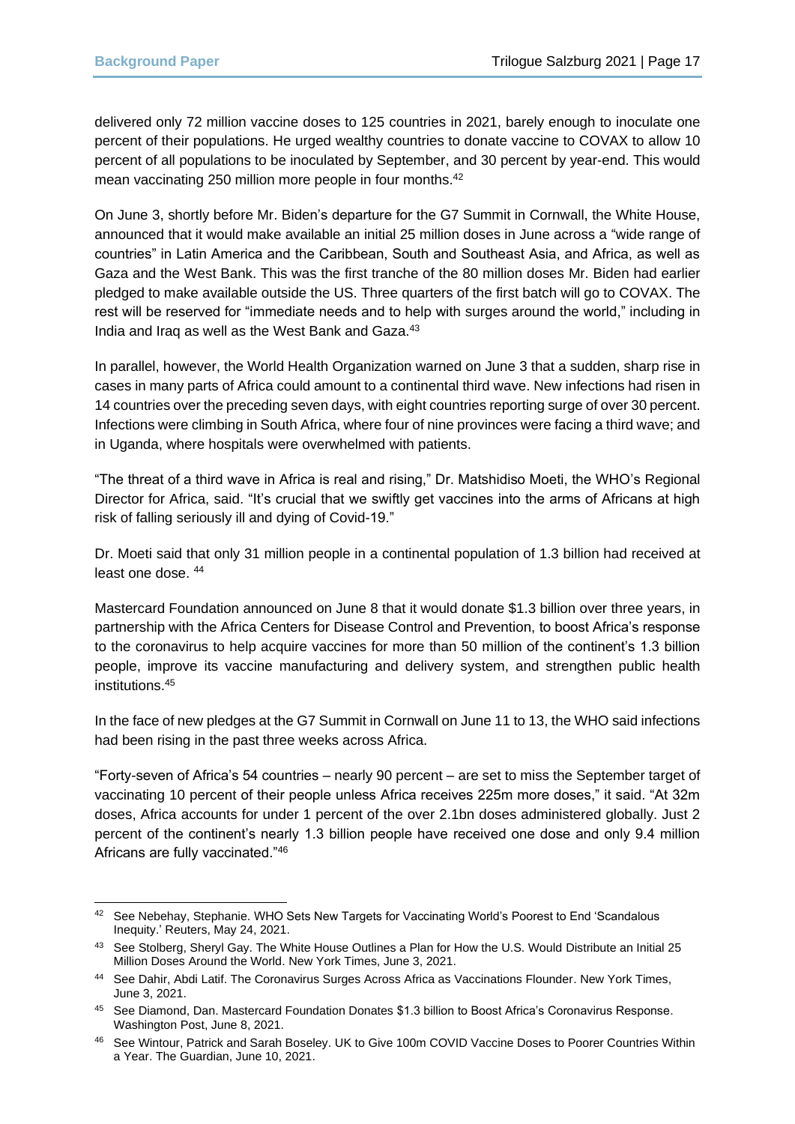delivered only 72 million vaccine doses to 125 countries in 2021, barely enough to inoculate one percent of their populations. He urged wealthy countries to donate vaccine to COVAX to allow 10 percent of all populations to be inoculated by September, and 30 percent by year-end. This would mean vaccinating 250 million more people in four months.<sup>42</sup>

On June 3, shortly before Mr. Biden's departure for the G7 Summit in Cornwall, the White House, announced that it would make available an initial 25 million doses in June across a "wide range of countries" in Latin America and the Caribbean, South and Southeast Asia, and Africa, as well as Gaza and the West Bank. This was the first tranche of the 80 million doses Mr. Biden had earlier pledged to make available outside the US. Three quarters of the first batch will go to COVAX. The rest will be reserved for "immediate needs and to help with surges around the world," including in India and Iraq as well as the West Bank and Gaza.<sup>43</sup>

In parallel, however, the World Health Organization warned on June 3 that a sudden, sharp rise in cases in many parts of Africa could amount to a continental third wave. New infections had risen in 14 countries over the preceding seven days, with eight countries reporting surge of over 30 percent. Infections were climbing in South Africa, where four of nine provinces were facing a third wave; and in Uganda, where hospitals were overwhelmed with patients.

"The threat of a third wave in Africa is real and rising," Dr. Matshidiso Moeti, the WHO's Regional Director for Africa, said. "It's crucial that we swiftly get vaccines into the arms of Africans at high risk of falling seriously ill and dying of Covid-19."

Dr. Moeti said that only 31 million people in a continental population of 1.3 billion had received at least one dose. <sup>44</sup>

Mastercard Foundation announced on June 8 that it would donate \$1.3 billion over three years, in partnership with the Africa Centers for Disease Control and Prevention, to boost Africa's response to the coronavirus to help acquire vaccines for more than 50 million of the continent's 1.3 billion people, improve its vaccine manufacturing and delivery system, and strengthen public health institutions.<sup>45</sup>

In the face of new pledges at the G7 Summit in Cornwall on June 11 to 13, the WHO said infections had been rising in the past three weeks across Africa.

"Forty-seven of Africa's 54 countries – nearly 90 percent – are set to miss the September target of vaccinating 10 percent of their people unless Africa receives 225m more doses," it said. "At 32m doses, Africa accounts for under 1 percent of the over 2.1bn doses administered globally. Just 2 percent of the continent's nearly 1.3 billion people have received one dose and only 9.4 million Africans are fully vaccinated."<sup>46</sup>

<sup>42</sup> See Nebehay, Stephanie. WHO Sets New Targets for Vaccinating World's Poorest to End 'Scandalous Inequity.' Reuters, May 24, 2021.

<sup>43</sup> See Stolberg, Sheryl Gay. The White House Outlines a Plan for How the U.S. Would Distribute an Initial 25 Million Doses Around the World. New York Times, June 3, 2021.

<sup>44</sup> See Dahir, Abdi Latif. The Coronavirus Surges Across Africa as Vaccinations Flounder. New York Times, June 3, 2021.

<sup>45</sup> See Diamond, Dan. Mastercard Foundation Donates \$1.3 billion to Boost Africa's Coronavirus Response. Washington Post, June 8, 2021.

<sup>46</sup> See Wintour, Patrick and Sarah Boseley. UK to Give 100m COVID Vaccine Doses to Poorer Countries Within a Year. The Guardian, June 10, 2021.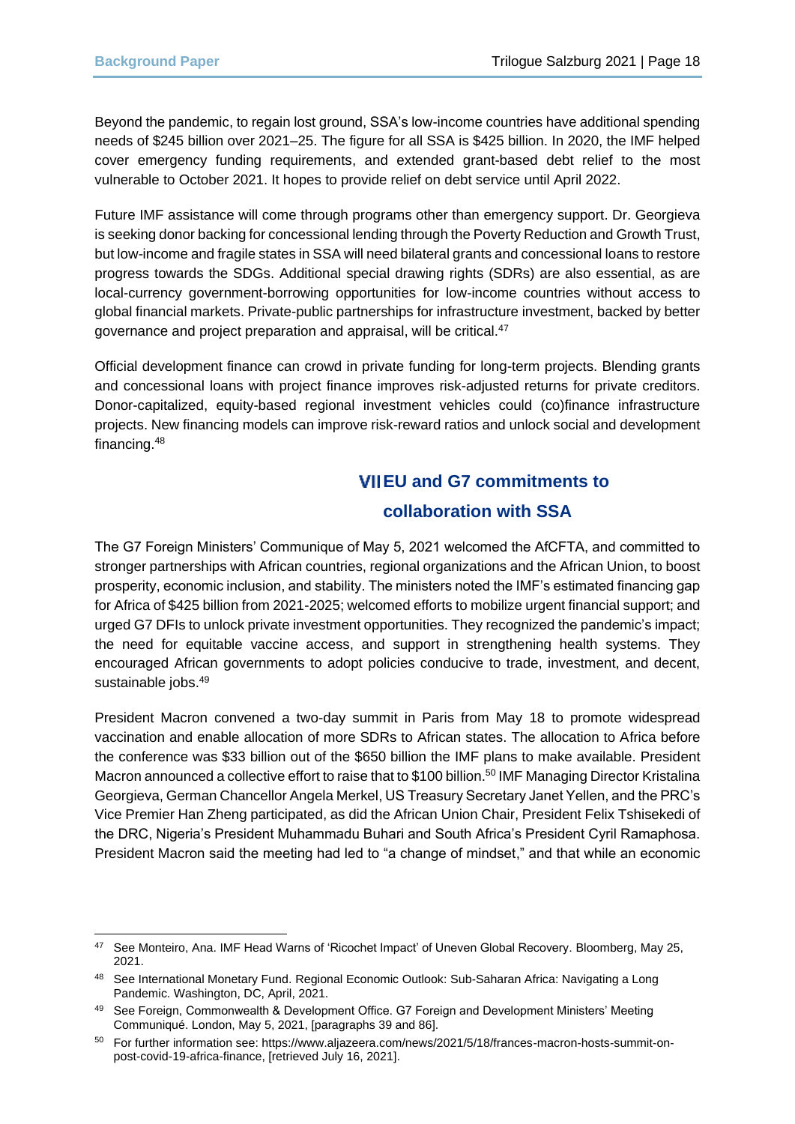Beyond the pandemic, to regain lost ground, SSA's low-income countries have additional spending needs of \$245 billion over 2021–25. The figure for all SSA is \$425 billion. In 2020, the IMF helped cover emergency funding requirements, and extended grant-based debt relief to the most vulnerable to October 2021. It hopes to provide relief on debt service until April 2022.

Future IMF assistance will come through programs other than emergency support. Dr. Georgieva is seeking donor backing for concessional lending through the Poverty Reduction and Growth Trust, but low-income and fragile states in SSA will need bilateral grants and concessional loans to restore progress towards the SDGs. Additional special drawing rights (SDRs) are also essential, as are local-currency government-borrowing opportunities for low-income countries without access to global financial markets. Private-public partnerships for infrastructure investment, backed by better governance and project preparation and appraisal, will be critical.<sup>47</sup>

Official development finance can crowd in private funding for long-term projects. Blending grants and concessional loans with project finance improves risk-adjusted returns for private creditors. Donor-capitalized, equity-based regional investment vehicles could (co)finance infrastructure projects. New financing models can improve risk-reward ratios and unlock social and development financing.<sup>48</sup>

# **EU and G7 commitments to collaboration with SSA**

The G7 Foreign Ministers' Communique of May 5, 2021 welcomed the AfCFTA, and committed to stronger partnerships with African countries, regional organizations and the African Union, to boost prosperity, economic inclusion, and stability. The ministers noted the IMF's estimated financing gap for Africa of \$425 billion from 2021-2025; welcomed efforts to mobilize urgent financial support; and urged G7 DFIs to unlock private investment opportunities. They recognized the pandemic's impact; the need for equitable vaccine access, and support in strengthening health systems. They encouraged African governments to adopt policies conducive to trade, investment, and decent, sustainable jobs.<sup>49</sup>

President Macron convened a two-day summit in Paris from May 18 to promote widespread vaccination and enable allocation of more SDRs to African states. The allocation to Africa before the conference was \$33 billion out of the \$650 billion the IMF plans to make available. President Macron announced a collective effort to raise that to \$100 billion.<sup>50</sup> IMF Managing Director Kristalina Georgieva, German Chancellor Angela Merkel, US Treasury Secretary Janet Yellen, and the PRC's Vice Premier Han Zheng participated, as did the African Union Chair, President Felix Tshisekedi of the DRC, Nigeria's President Muhammadu Buhari and South Africa's President Cyril Ramaphosa. President Macron said the meeting had led to "a change of mindset," and that while an economic

<sup>47</sup> See Monteiro, Ana. IMF Head Warns of 'Ricochet Impact' of Uneven Global Recovery. Bloomberg, May 25, 2021.

<sup>48</sup> See International Monetary Fund. Regional Economic Outlook: Sub-Saharan Africa: Navigating a Long Pandemic. Washington, DC, April, 2021.

<sup>49</sup> See Foreign, Commonwealth & Development Office. G7 Foreign and Development Ministers' Meeting Communiqué. London, May 5, 2021, [paragraphs 39 and 86].

<sup>50</sup> For further information see: https://www.aljazeera.com/news/2021/5/18/frances-macron-hosts-summit-onpost-covid-19-africa-finance, [retrieved July 16, 2021].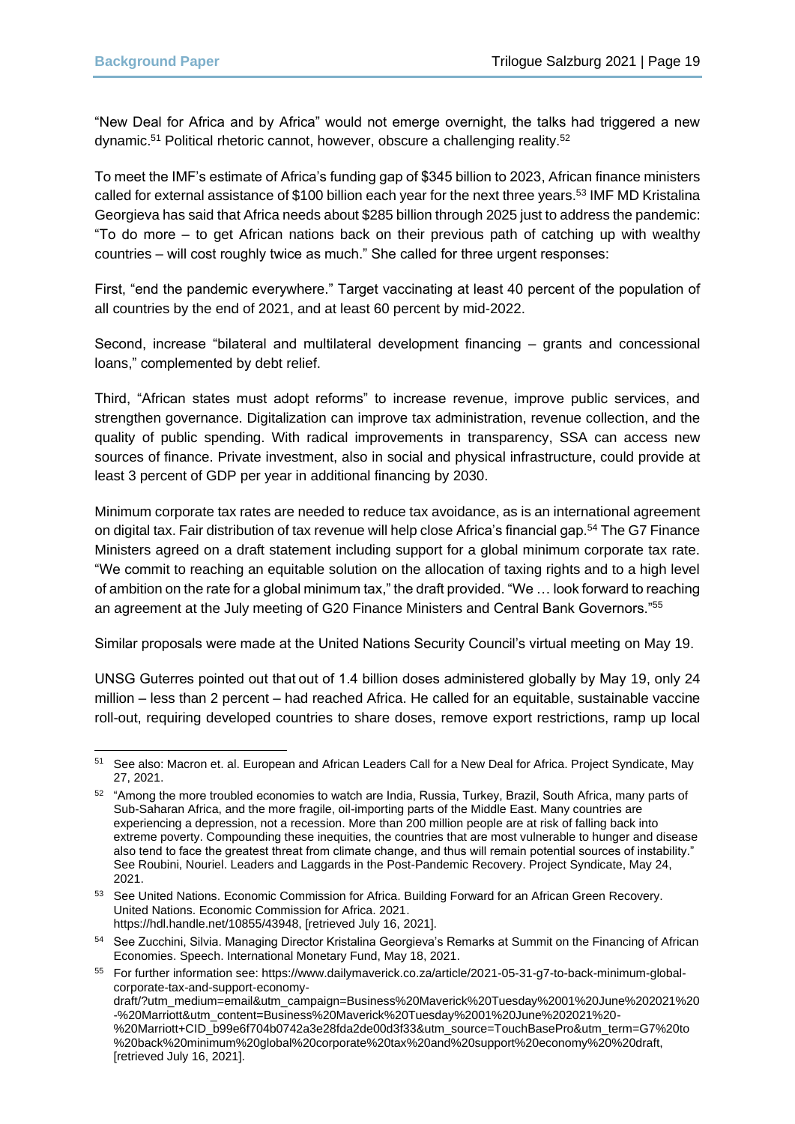"New Deal for Africa and by Africa" would not emerge overnight, the talks had triggered a new dynamic.<sup>51</sup> Political rhetoric cannot, however, obscure a challenging reality.<sup>52</sup>

To meet the IMF's estimate of Africa's funding gap of \$345 billion to 2023, African finance ministers called for external assistance of \$100 billion each year for the next three years.<sup>53</sup> IMF MD Kristalina Georgieva has said that Africa needs about \$285 billion through 2025 just to address the pandemic: "To do more – to get African nations back on their previous path of catching up with wealthy countries – will cost roughly twice as much." She called for three urgent responses:

First, "end the pandemic everywhere." Target vaccinating at least 40 percent of the population of all countries by the end of 2021, and at least 60 percent by mid-2022.

Second, increase "bilateral and multilateral development financing – grants and concessional loans," complemented by debt relief.

Third, "African states must adopt reforms" to increase revenue, improve public services, and strengthen governance. Digitalization can improve tax administration, revenue collection, and the quality of public spending. With radical improvements in transparency, SSA can access new sources of finance. Private investment, also in social and physical infrastructure, could provide at least 3 percent of GDP per year in additional financing by 2030.

Minimum corporate tax rates are needed to reduce tax avoidance, as is an international agreement on digital tax. Fair distribution of tax revenue will help close Africa's financial gap.<sup>54</sup> The G7 Finance Ministers agreed on a draft statement including support for a global minimum corporate tax rate. "We commit to reaching an equitable solution on the allocation of taxing rights and to a high level of ambition on the rate for a global minimum tax," the draft provided. "We … look forward to reaching an agreement at the July meeting of G20 Finance Ministers and Central Bank Governors."<sup>55</sup>

Similar proposals were made at the United Nations Security Council's virtual meeting on May 19.

UNSG Guterres pointed out that out of 1.4 billion doses administered globally by May 19, only 24 million – less than 2 percent – had reached Africa. He called for an equitable, sustainable vaccine roll-out, requiring developed countries to share doses, remove export restrictions, ramp up local

<sup>51</sup> See also: Macron et. al. European and African Leaders Call for a New Deal for Africa. Project Syndicate, May 27, 2021.

<sup>52</sup> "Among the more troubled economies to watch are India, Russia, Turkey, Brazil, South Africa, many parts of Sub-Saharan Africa, and the more fragile, oil-importing parts of the Middle East. Many countries are experiencing a depression, not a recession. More than 200 million people are at risk of falling back into extreme poverty. Compounding these inequities, the countries that are most vulnerable to hunger and disease also tend to face the greatest threat from climate change, and thus will remain potential sources of instability." See Roubini, Nouriel. Leaders and Laggards in the Post-Pandemic Recovery. Project Syndicate, May 24, 2021.

<sup>53</sup> See United Nations. Economic Commission for Africa. Building Forward for an African Green Recovery. United Nations. Economic Commission for Africa. 2021. https://hdl.handle.net/10855/43948, [retrieved July 16, 2021].

<sup>54</sup> See Zucchini, Silvia. Managing Director Kristalina Georgieva's Remarks at Summit on the Financing of African Economies. Speech. International Monetary Fund, May 18, 2021.

<sup>55</sup> For further information see: https://www.dailymaverick.co.za/article/2021-05-31-g7-to-back-minimum-globalcorporate-tax-and-support-economydraft/?utm\_medium=email&utm\_campaign=Business%20Maverick%20Tuesday%2001%20June%202021%20 -%20Marriott&utm\_content=Business%20Maverick%20Tuesday%2001%20June%202021%20- %20Marriott+CID\_b99e6f704b0742a3e28fda2de00d3f33&utm\_source=TouchBasePro&utm\_term=G7%20to %20back%20minimum%20global%20corporate%20tax%20and%20support%20economy%20%20draft, [retrieved July 16, 2021].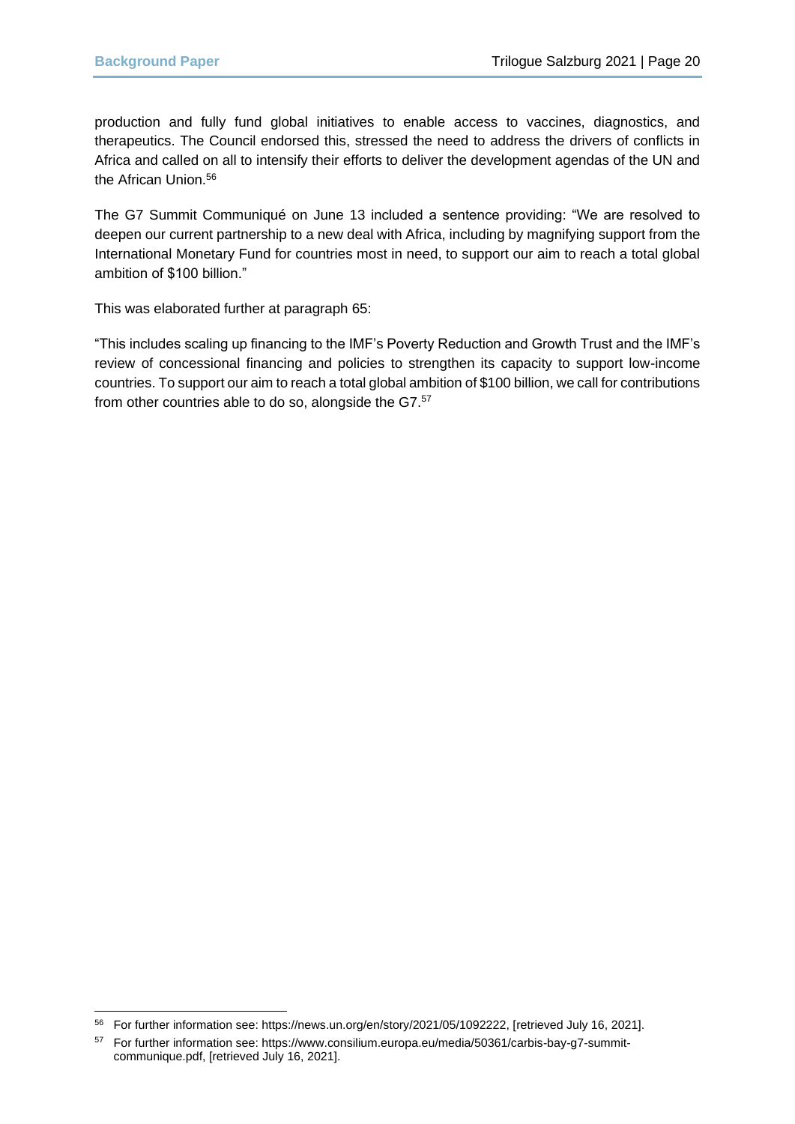production and fully fund global initiatives to enable access to vaccines, diagnostics, and therapeutics. The Council endorsed this, stressed the need to address the drivers of conflicts in Africa and called on all to intensify their efforts to deliver the development agendas of the UN and the African Union.<sup>56</sup>

The G7 Summit Communiqué on June 13 included a sentence providing: "We are resolved to deepen our current partnership to a new deal with Africa, including by magnifying support from the International Monetary Fund for countries most in need, to support our aim to reach a total global ambition of \$100 billion."

This was elaborated further at paragraph 65:

"This includes scaling up financing to the IMF's Poverty Reduction and Growth Trust and the IMF's review of concessional financing and policies to strengthen its capacity to support low-income countries. To support our aim to reach a total global ambition of \$100 billion, we call for contributions from other countries able to do so, alongside the G7.<sup>57</sup>

<sup>56</sup> For further information see: https://news.un.org/en/story/2021/05/1092222, [retrieved July 16, 2021].

<sup>57</sup> For further information see: https://www.consilium.europa.eu/media/50361/carbis-bay-g7-summitcommunique.pdf, [retrieved July 16, 2021].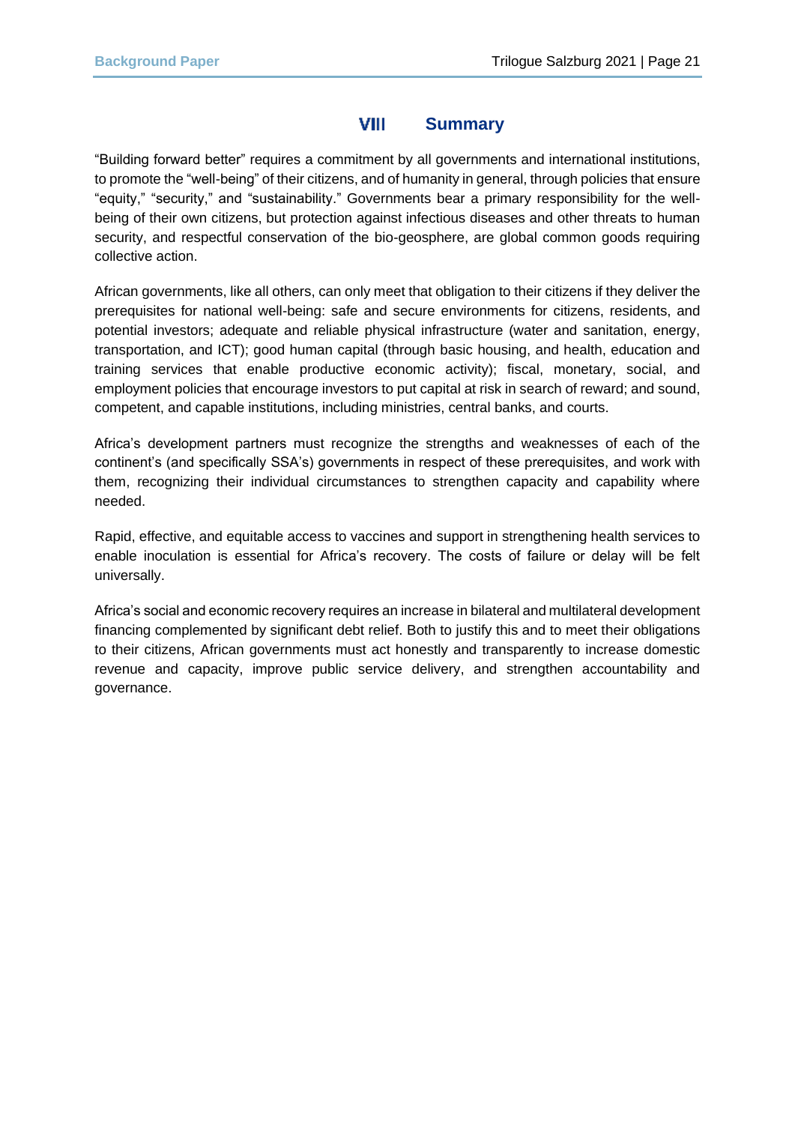#### VIII **Summary**

"Building forward better" requires a commitment by all governments and international institutions, to promote the "well-being" of their citizens, and of humanity in general, through policies that ensure "equity," "security," and "sustainability." Governments bear a primary responsibility for the wellbeing of their own citizens, but protection against infectious diseases and other threats to human security, and respectful conservation of the bio-geosphere, are global common goods requiring collective action.

African governments, like all others, can only meet that obligation to their citizens if they deliver the prerequisites for national well-being: safe and secure environments for citizens, residents, and potential investors; adequate and reliable physical infrastructure (water and sanitation, energy, transportation, and ICT); good human capital (through basic housing, and health, education and training services that enable productive economic activity); fiscal, monetary, social, and employment policies that encourage investors to put capital at risk in search of reward; and sound, competent, and capable institutions, including ministries, central banks, and courts.

Africa's development partners must recognize the strengths and weaknesses of each of the continent's (and specifically SSA's) governments in respect of these prerequisites, and work with them, recognizing their individual circumstances to strengthen capacity and capability where needed.

Rapid, effective, and equitable access to vaccines and support in strengthening health services to enable inoculation is essential for Africa's recovery. The costs of failure or delay will be felt universally.

Africa's social and economic recovery requires an increase in bilateral and multilateral development financing complemented by significant debt relief. Both to justify this and to meet their obligations to their citizens, African governments must act honestly and transparently to increase domestic revenue and capacity, improve public service delivery, and strengthen accountability and governance.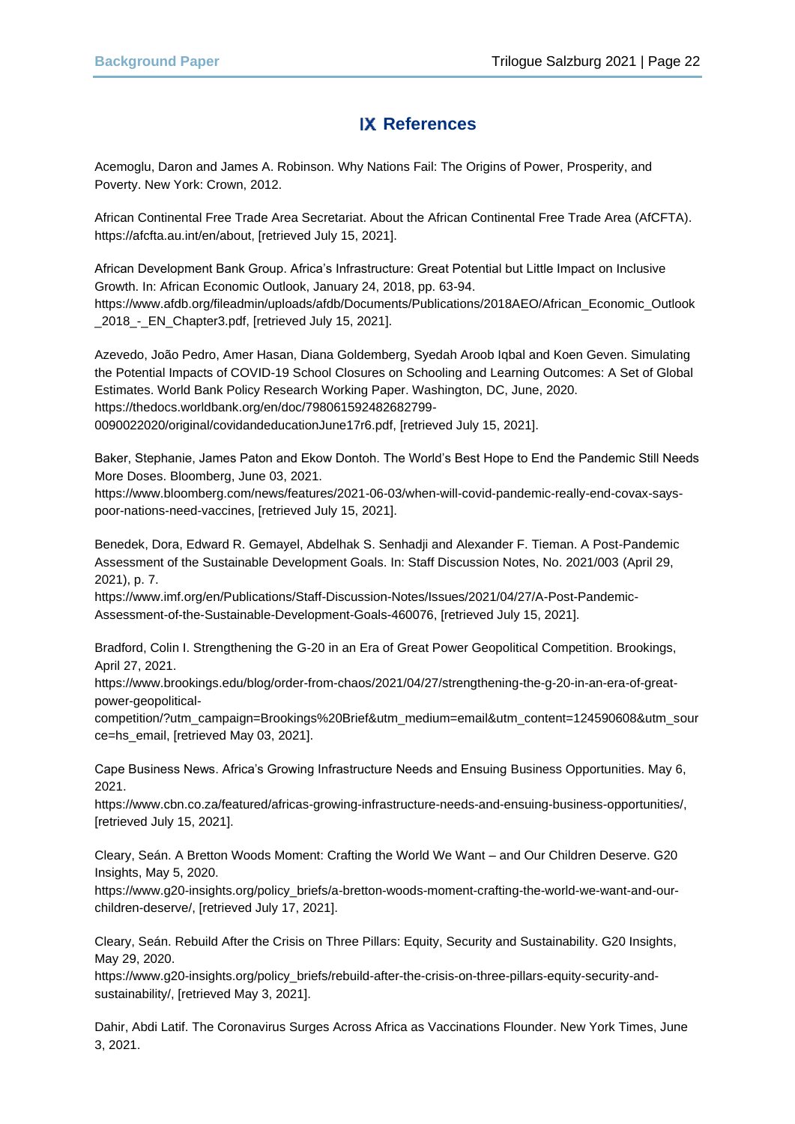# **IX References**

Acemoglu, Daron and James A. Robinson. Why Nations Fail: The Origins of Power, Prosperity, and Poverty. New York: Crown, 2012.

African Continental Free Trade Area Secretariat. About the African Continental Free Trade Area (AfCFTA). https://afcfta.au.int/en/about, [retrieved July 15, 2021].

African Development Bank Group. Africa's Infrastructure: Great Potential but Little Impact on Inclusive Growth. In: African Economic Outlook, January 24, 2018, pp. 63-94. https://www.afdb.org/fileadmin/uploads/afdb/Documents/Publications/2018AEO/African\_Economic\_Outlook \_2018\_-\_EN\_Chapter3.pdf, [retrieved July 15, 2021].

Azevedo, João Pedro, Amer Hasan, Diana Goldemberg, Syedah Aroob Iqbal and Koen Geven. Simulating the Potential Impacts of COVID-19 School Closures on Schooling and Learning Outcomes: A Set of Global Estimates. World Bank Policy Research Working Paper. Washington, DC, June, 2020. https://thedocs.worldbank.org/en/doc/798061592482682799- 0090022020/original/covidandeducationJune17r6.pdf, [retrieved July 15, 2021].

Baker, Stephanie, James Paton and Ekow Dontoh. The World's Best Hope to End the Pandemic Still Needs More Doses. Bloomberg, June 03, 2021.

[https://www.bloomberg.com/news/features/2021-06-03/when-will-covid-pandemic-really-end-covax-says](https://www.bloomberg.com/news/features/2021-06-03/when-will-covid-pandemic-really-end-covax-says-poor-nations-need-vaccines)[poor-nations-need-vaccines,](https://www.bloomberg.com/news/features/2021-06-03/when-will-covid-pandemic-really-end-covax-says-poor-nations-need-vaccines) [retrieved July 15, 2021].

Benedek, Dora, Edward R. Gemayel, Abdelhak S. Senhadji and Alexander F. Tieman. A Post-Pandemic Assessment of the Sustainable Development Goals. In: Staff Discussion Notes, No. 2021/003 (April 29, 2021), p. 7.

https://www.imf.org/en/Publications/Staff-Discussion-Notes/Issues/2021/04/27/A-Post-Pandemic-Assessment-of-the-Sustainable-Development-Goals-460076, [retrieved July 15, 2021].

Bradford, Colin I. Strengthening the G-20 in an Era of Great Power Geopolitical Competition. Brookings, April 27, 2021.

https://www.brookings.edu/blog/order-from-chaos/2021/04/27/strengthening-the-g-20-in-an-era-of-greatpower-geopolitical-

competition/?utm\_campaign=Brookings%20Brief&utm\_medium=email&utm\_content=124590608&utm\_sour ce=hs\_email, [retrieved May 03, 2021].

Cape Business News. Africa's Growing Infrastructure Needs and Ensuing Business Opportunities. May 6, 2021.

https://www.cbn.co.za/featured/africas-growing-infrastructure-needs-and-ensuing-business-opportunities/, [retrieved July 15, 2021].

Cleary, Seán. A Bretton Woods Moment: Crafting the World We Want – and Our Children Deserve. G20 Insights, May 5, 2020.

https://www.g20-insights.org/policy\_briefs/a-bretton-woods-moment-crafting-the-world-we-want-and-ourchildren-deserve/, [retrieved July 17, 2021].

Cleary, Seán. Rebuild After the Crisis on Three Pillars: Equity, Security and Sustainability. G20 Insights, May 29, 2020.

https://www.g20-insights.org/policy\_briefs/rebuild-after-the-crisis-on-three-pillars-equity-security-andsustainability/, [retrieved May 3, 2021].

Dahir, Abdi Latif. The Coronavirus Surges Across Africa as Vaccinations Flounder. New York Times, June 3, 2021.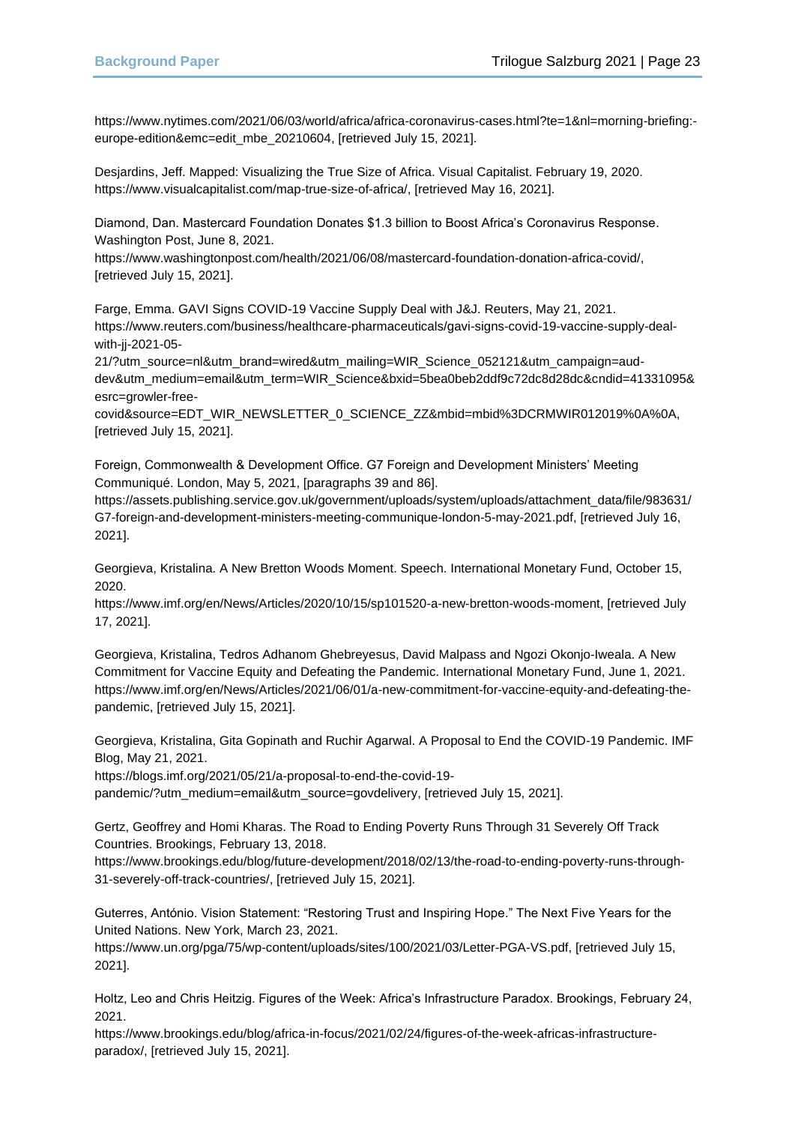[https://www.nytimes.com/2021/06/03/world/africa/africa-coronavirus-cases.html?te=1&nl=morning-briefing:](https://www.nytimes.com/2021/06/03/world/africa/africa-coronavirus-cases.html?te=1&nl=morning-briefing:-europe-edition&emc=edit_mbe_20210604) [europe-edition&emc=edit\\_mbe\\_20210604,](https://www.nytimes.com/2021/06/03/world/africa/africa-coronavirus-cases.html?te=1&nl=morning-briefing:-europe-edition&emc=edit_mbe_20210604) [retrieved July 15, 2021].

Desjardins, Jeff. Mapped: Visualizing the True Size of Africa. Visual Capitalist. February 19, 2020. https://www.visualcapitalist.com/map-true-size-of-africa/, [retrieved May 16, 2021].

Diamond, Dan. Mastercard Foundation Donates \$1.3 billion to Boost Africa's Coronavirus Response. Washington Post, June 8, 2021.

https://www.washingtonpost.com/health/2021/06/08/mastercard-foundation-donation-africa-covid/, [retrieved July 15, 2021].

Farge, Emma. GAVI Signs COVID-19 Vaccine Supply Deal with J&J. Reuters, May 21, 2021. https://www.reuters.com/business/healthcare-pharmaceuticals/gavi-signs-covid-19-vaccine-supply-dealwith-jj-2021-05-

21/?utm\_source=nl&utm\_brand=wired&utm\_mailing=WIR\_Science\_052121&utm\_campaign=auddev&utm\_medium=email&utm\_term=WIR\_Science&bxid=5bea0beb2ddf9c72dc8d28dc&cndid=41331095& esrc=growler-free-

covid&source=EDT\_WIR\_NEWSLETTER\_0\_SCIENCE\_ZZ&mbid=mbid%3DCRMWIR012019%0A%0A, [retrieved July 15, 2021].

Foreign, Commonwealth & Development Office. G7 Foreign and Development Ministers' Meeting Communiqué. London, May 5, 2021, [paragraphs 39 and 86].

https://assets.publishing.service.gov.uk/government/uploads/system/uploads/attachment\_data/file/983631/ G7-foreign-and-development-ministers-meeting-communique-london-5-may-2021.pdf, [retrieved July 16, 2021].

Georgieva, Kristalina. A New Bretton Woods Moment. Speech. International Monetary Fund, October 15, 2020.

https://www.imf.org/en/News/Articles/2020/10/15/sp101520-a-new-bretton-woods-moment, [retrieved July 17, 2021].

Georgieva, Kristalina, Tedros Adhanom Ghebreyesus, David Malpass and Ngozi Okonjo-Iweala. A New Commitment for Vaccine Equity and Defeating the Pandemic. International Monetary Fund, June 1, 2021. https://www.imf.org/en/News/Articles/2021/06/01/a-new-commitment-for-vaccine-equity-and-defeating-thepandemic, [retrieved July 15, 2021].

Georgieva, Kristalina, Gita Gopinath and Ruchir Agarwal. A Proposal to End the COVID-19 Pandemic. IMF Blog, May 21, 2021.

https://blogs.imf.org/2021/05/21/a-proposal-to-end-the-covid-19-

pandemic/?utm\_medium=email&utm\_source=govdelivery, [retrieved July 15, 2021].

Gertz, Geoffrey and Homi Kharas. The Road to Ending Poverty Runs Through 31 Severely Off Track Countries. Brookings, February 13, 2018.

https://www.brookings.edu/blog/future-development/2018/02/13/the-road-to-ending-poverty-runs-through-31-severely-off-track-countries/, [retrieved July 15, 2021].

Guterres, António. Vision Statement: "Restoring Trust and Inspiring Hope." The Next Five Years for the United Nations. New York, March 23, 2021.

https://www.un.org/pga/75/wp-content/uploads/sites/100/2021/03/Letter-PGA-VS.pdf, [retrieved July 15, 2021].

Holtz, Leo and Chris Heitzig. Figures of the Week: Africa's Infrastructure Paradox. Brookings, February 24, 2021.

https://www.brookings.edu/blog/africa-in-focus/2021/02/24/figures-of-the-week-africas-infrastructureparadox/, [retrieved July 15, 2021].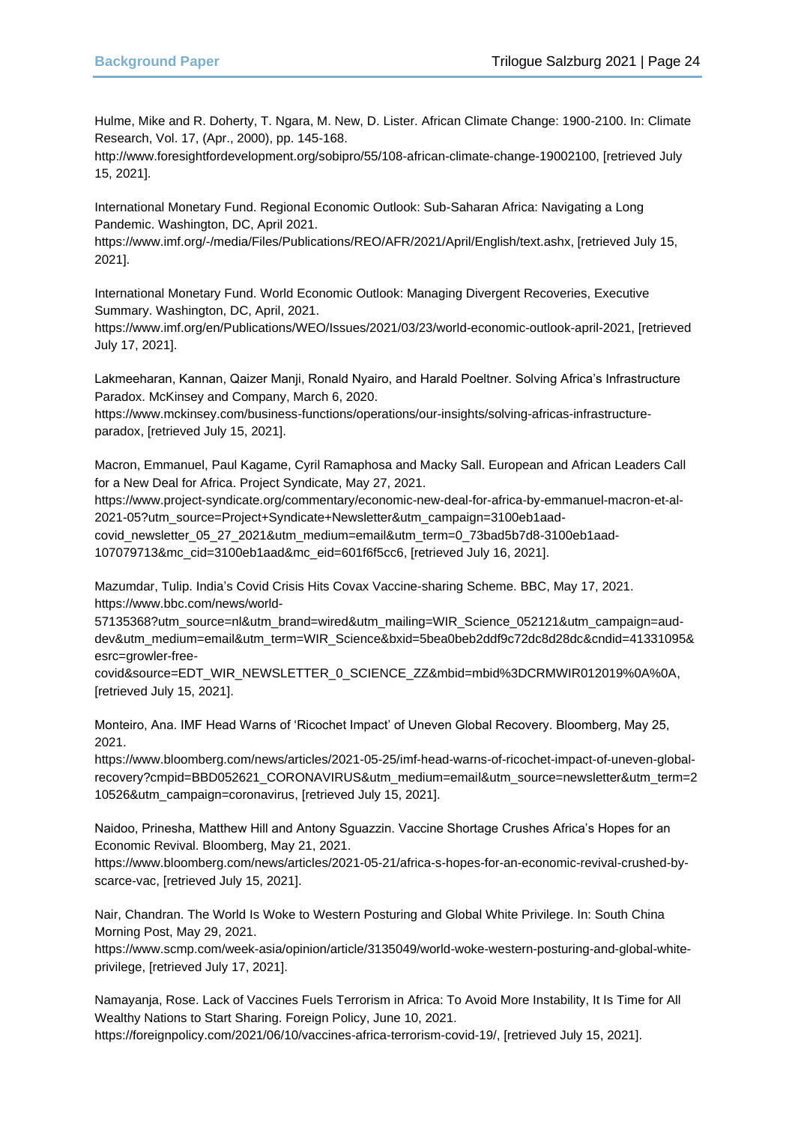Hulme, Mike and R. Doherty, T. Ngara, M. New, D. Lister. African Climate Change: 1900-2100. In: Climate Research, Vol. 17, (Apr., 2000), pp. 145-168.

http://www.foresightfordevelopment.org/sobipro/55/108-african-climate-change-19002100, [retrieved July 15, 2021].

International Monetary Fund. Regional Economic Outlook: Sub-Saharan Africa: Navigating a Long Pandemic. Washington, DC, April 2021.

https://www.imf.org/-/media/Files/Publications/REO/AFR/2021/April/English/text.ashx, [retrieved July 15, 2021].

International Monetary Fund. World Economic Outlook: Managing Divergent Recoveries, Executive Summary. Washington, DC, April, 2021.

https://www.imf.org/en/Publications/WEO/Issues/2021/03/23/world-economic-outlook-april-2021, [retrieved July 17, 2021].

Lakmeeharan, Kannan, Qaizer Manji, Ronald Nyairo, and Harald Poeltner. Solving Africa's Infrastructure Paradox. McKinsey and Company, March 6, 2020.

https://www.mckinsey.com/business-functions/operations/our-insights/solving-africas-infrastructureparadox, [retrieved July 15, 2021].

Macron, Emmanuel, Paul Kagame, Cyril Ramaphosa and Macky Sall. European and African Leaders Call for a New Deal for Africa. Project Syndicate, May 27, 2021.

https://www.project-syndicate.org/commentary/economic-new-deal-for-africa-by-emmanuel-macron-et-al-2021-05?utm\_source=Project+Syndicate+Newsletter&utm\_campaign=3100eb1aad-

covid\_newsletter\_05\_27\_2021&utm\_medium=email&utm\_term=0\_73bad5b7d8-3100eb1aad-107079713&mc\_cid=3100eb1aad&mc\_eid=601f6f5cc6, [retrieved July 16, 2021].

Mazumdar, Tulip. India's Covid Crisis Hits Covax Vaccine-sharing Scheme. BBC, May 17, 2021. [https://www.bbc.com/news/world-](https://www.bbc.com/news/world-57135368?utm_source=nl&utm_brand=wired&utm_mailing=WIR_Science_052121&utm_campaign=aud-dev&utm_medium=email&utm_term=WIR_Science&bxid=5bea0beb2ddf9c72dc8d28dc&cndid=41331095&esrc=growler-free-covid&source=EDT_WIR_NEWSLETTER_0_SCIENCE_ZZ&mbid=mbid%3DCRMWIR012019%0A%0A)

[57135368?utm\\_source=nl&utm\\_brand=wired&utm\\_mailing=WIR\\_Science\\_052121&utm\\_campaign=aud](https://www.bbc.com/news/world-57135368?utm_source=nl&utm_brand=wired&utm_mailing=WIR_Science_052121&utm_campaign=aud-dev&utm_medium=email&utm_term=WIR_Science&bxid=5bea0beb2ddf9c72dc8d28dc&cndid=41331095&esrc=growler-free-covid&source=EDT_WIR_NEWSLETTER_0_SCIENCE_ZZ&mbid=mbid%3DCRMWIR012019%0A%0A)[dev&utm\\_medium=email&utm\\_term=WIR\\_Science&bxid=5bea0beb2ddf9c72dc8d28dc&cndid=41331095&](https://www.bbc.com/news/world-57135368?utm_source=nl&utm_brand=wired&utm_mailing=WIR_Science_052121&utm_campaign=aud-dev&utm_medium=email&utm_term=WIR_Science&bxid=5bea0beb2ddf9c72dc8d28dc&cndid=41331095&esrc=growler-free-covid&source=EDT_WIR_NEWSLETTER_0_SCIENCE_ZZ&mbid=mbid%3DCRMWIR012019%0A%0A) [esrc=growler-free-](https://www.bbc.com/news/world-57135368?utm_source=nl&utm_brand=wired&utm_mailing=WIR_Science_052121&utm_campaign=aud-dev&utm_medium=email&utm_term=WIR_Science&bxid=5bea0beb2ddf9c72dc8d28dc&cndid=41331095&esrc=growler-free-covid&source=EDT_WIR_NEWSLETTER_0_SCIENCE_ZZ&mbid=mbid%3DCRMWIR012019%0A%0A)

[covid&source=EDT\\_WIR\\_NEWSLETTER\\_0\\_SCIENCE\\_ZZ&mbid=mbid%3DCRMWIR012019%0A%0A,](https://www.bbc.com/news/world-57135368?utm_source=nl&utm_brand=wired&utm_mailing=WIR_Science_052121&utm_campaign=aud-dev&utm_medium=email&utm_term=WIR_Science&bxid=5bea0beb2ddf9c72dc8d28dc&cndid=41331095&esrc=growler-free-covid&source=EDT_WIR_NEWSLETTER_0_SCIENCE_ZZ&mbid=mbid%3DCRMWIR012019%0A%0A) [retrieved July 15, 2021].

Monteiro, Ana. IMF Head Warns of 'Ricochet Impact' of Uneven Global Recovery. Bloomberg, May 25, 2021.

[https://www.bloomberg.com/news/articles/2021-05-25/imf-head-warns-of-ricochet-impact-of-uneven-global](https://www.bloomberg.com/news/articles/2021-05-25/imf-head-warns-of-ricochet-impact-of-uneven-global-recovery?cmpid=BBD052621_CORONAVIRUS&utm_medium=email&utm_source=newsletter&utm_term=210526&utm_campaign=coronavirus)[recovery?cmpid=BBD052621\\_CORONAVIRUS&utm\\_medium=email&utm\\_source=newsletter&utm\\_term=2](https://www.bloomberg.com/news/articles/2021-05-25/imf-head-warns-of-ricochet-impact-of-uneven-global-recovery?cmpid=BBD052621_CORONAVIRUS&utm_medium=email&utm_source=newsletter&utm_term=210526&utm_campaign=coronavirus) [10526&utm\\_campaign=coronavirus,](https://www.bloomberg.com/news/articles/2021-05-25/imf-head-warns-of-ricochet-impact-of-uneven-global-recovery?cmpid=BBD052621_CORONAVIRUS&utm_medium=email&utm_source=newsletter&utm_term=210526&utm_campaign=coronavirus) [retrieved July 15, 2021].

Naidoo, Prinesha, Matthew Hill and Antony Sguazzin. Vaccine Shortage Crushes Africa's Hopes for an Economic Revival. Bloomberg, May 21, 2021.

https://www.bloomberg.com/news/articles/2021-05-21/africa-s-hopes-for-an-economic-revival-crushed-byscarce-vac, [retrieved July 15, 2021].

Nair, Chandran. The World Is Woke to Western Posturing and Global White Privilege. In: South China Morning Post, May 29, 2021.

https://www.scmp.com/week-asia/opinion/article/3135049/world-woke-western-posturing-and-global-whiteprivilege, [retrieved July 17, 2021].

Namayanja, Rose. Lack of Vaccines Fuels Terrorism in Africa: To Avoid More Instability, It Is Time for All Wealthy Nations to Start Sharing. Foreign Policy, June 10, 2021. https://foreignpolicy.com/2021/06/10/vaccines-africa-terrorism-covid-19/, [retrieved July 15, 2021].